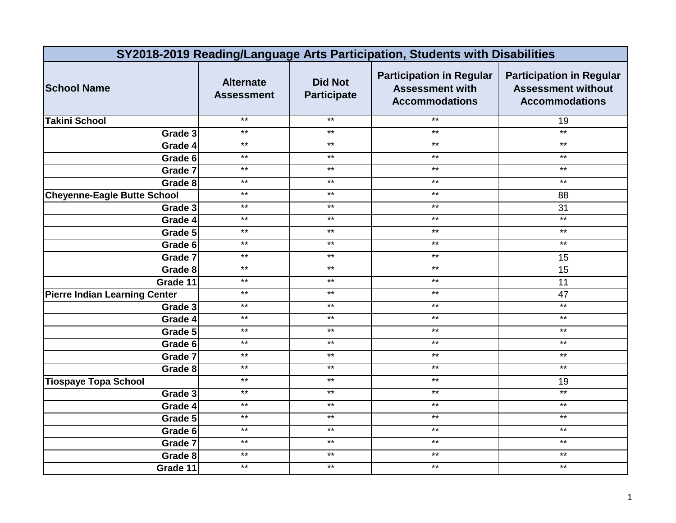|                                      | SY2018-2019 Reading/Language Arts Participation, Students with Disabilities |                                      |                                                                                    |                                                                                       |  |
|--------------------------------------|-----------------------------------------------------------------------------|--------------------------------------|------------------------------------------------------------------------------------|---------------------------------------------------------------------------------------|--|
| <b>School Name</b>                   | <b>Alternate</b><br><b>Assessment</b>                                       | <b>Did Not</b><br><b>Participate</b> | <b>Participation in Regular</b><br><b>Assessment with</b><br><b>Accommodations</b> | <b>Participation in Regular</b><br><b>Assessment without</b><br><b>Accommodations</b> |  |
| <b>Takini School</b>                 | $***$                                                                       | $***$                                | $***$                                                                              | 19                                                                                    |  |
| Grade 3                              | $***$                                                                       | $***$                                | $***$                                                                              | $*$                                                                                   |  |
| Grade 4                              | $***$                                                                       | $***$                                | $***$                                                                              | $\star\star$                                                                          |  |
| Grade 6                              | $***$                                                                       | $\star\star$                         | $***$                                                                              | $\star\star$                                                                          |  |
| Grade 7                              | $***$                                                                       | $\star\star$                         | $\star\star$                                                                       | $\star\star$                                                                          |  |
| Grade 8                              | $***$                                                                       | $***$                                | $***$                                                                              | $\star\star$                                                                          |  |
| <b>Cheyenne-Eagle Butte School</b>   | $***$                                                                       | $\star\star$                         | $\star\star$                                                                       | 88                                                                                    |  |
| Grade 3                              | $***$                                                                       | $***$                                | $***$                                                                              | 31                                                                                    |  |
| Grade 4                              | $***$                                                                       | $***$                                | $***$                                                                              | $\star\star$                                                                          |  |
| Grade 5                              | $\star\star$                                                                | $\star\star$                         | $\star\star$                                                                       | $***$                                                                                 |  |
| Grade 6                              | $**$                                                                        | $***$                                | $***$                                                                              | $*$                                                                                   |  |
| Grade 7                              | $***$                                                                       | $***$                                | $***$                                                                              | 15                                                                                    |  |
| Grade 8                              | $***$                                                                       | $\star\star$                         | $***$                                                                              | 15                                                                                    |  |
| Grade 11                             | $***$                                                                       | $***$                                | $***$                                                                              | 11                                                                                    |  |
| <b>Pierre Indian Learning Center</b> | $***$                                                                       | $***$                                | $***$                                                                              | 47                                                                                    |  |
| Grade 3                              | $***$                                                                       | $***$                                | $***$                                                                              | $\star\star$                                                                          |  |
| Grade 4                              | $***$                                                                       | $***$                                | $***$                                                                              | $\star\star$                                                                          |  |
| Grade 5                              | $*$                                                                         | $***$                                | $***$                                                                              | $\star\star$                                                                          |  |
| Grade 6                              | $***$                                                                       | $***$                                | $***$                                                                              | $\star\star$                                                                          |  |
| Grade 7                              | $***$                                                                       | $***$                                | $***$                                                                              | $***$                                                                                 |  |
| Grade 8                              | $***$                                                                       | $***$                                | $***$                                                                              | $***$                                                                                 |  |
| <b>Tiospaye Topa School</b>          | $***$                                                                       | $***$                                | $***$                                                                              | 19                                                                                    |  |
| Grade 3                              | $***$                                                                       | $***$                                | $***$                                                                              | $\star\star$                                                                          |  |
| Grade 4                              | $*$                                                                         | $***$                                | $***$                                                                              | $***$                                                                                 |  |
| Grade 5                              | $***$                                                                       | $***$                                | $***$                                                                              | $\star\star$                                                                          |  |
| Grade 6                              | $***$                                                                       | $***$                                | $***$                                                                              | $\star\star$                                                                          |  |
| Grade 7                              | $***$                                                                       | $***$                                | $***$                                                                              | $***$                                                                                 |  |
| Grade 8                              | $***$                                                                       | $***$                                | $***$                                                                              | $***$                                                                                 |  |
| Grade 11                             | $***$                                                                       | $***$                                | $***$                                                                              | $\star\star$                                                                          |  |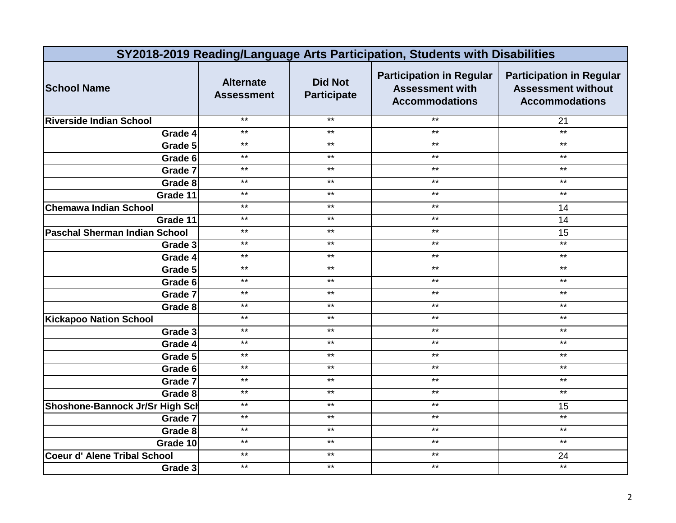|                                      | SY2018-2019 Reading/Language Arts Participation, Students with Disabilities |                                      |                                                                                    |                                                                                       |  |
|--------------------------------------|-----------------------------------------------------------------------------|--------------------------------------|------------------------------------------------------------------------------------|---------------------------------------------------------------------------------------|--|
| <b>School Name</b>                   | <b>Alternate</b><br><b>Assessment</b>                                       | <b>Did Not</b><br><b>Participate</b> | <b>Participation in Regular</b><br><b>Assessment with</b><br><b>Accommodations</b> | <b>Participation in Regular</b><br><b>Assessment without</b><br><b>Accommodations</b> |  |
| <b>Riverside Indian School</b>       | $***$                                                                       | $***$                                | $***$                                                                              | 21                                                                                    |  |
| Grade 4                              | $***$                                                                       | $***$                                | $***$                                                                              | $*$                                                                                   |  |
| Grade 5                              | $***$                                                                       | $***$                                | $***$                                                                              | $\star\star$                                                                          |  |
| Grade 6                              | $***$                                                                       | $***$                                | $***$                                                                              | $\star\star$                                                                          |  |
| Grade 7                              | $***$                                                                       | $***$                                | $***$                                                                              | $\star\star$                                                                          |  |
| Grade 8                              | $***$                                                                       | $***$                                | $***$                                                                              | $\star\star$                                                                          |  |
| Grade 11                             | $***$                                                                       | $***$                                | $\star\star$                                                                       | $\star\star$                                                                          |  |
| <b>Chemawa Indian School</b>         | $***$                                                                       | $***$                                | $***$                                                                              | 14                                                                                    |  |
| Grade 11                             | $***$                                                                       | $***$                                | $***$                                                                              | 14                                                                                    |  |
| <b>Paschal Sherman Indian School</b> | $***$                                                                       | $\star\star$                         | $***$                                                                              | 15                                                                                    |  |
| Grade 3                              | $**$                                                                        | $***$                                | $***$                                                                              | $**$                                                                                  |  |
| Grade 4                              | $***$                                                                       | $***$                                | $***$                                                                              | $***$                                                                                 |  |
| Grade 5                              | $***$                                                                       | $***$                                | $***$                                                                              | $\star\star$                                                                          |  |
| Grade 6                              | $***$                                                                       | $***$                                | $***$                                                                              | $\star\star$                                                                          |  |
| Grade 7                              | $***$                                                                       | $***$                                | $***$                                                                              | $***$                                                                                 |  |
| Grade 8                              | $***$                                                                       | $***$                                | $***$                                                                              | $***$                                                                                 |  |
| <b>Kickapoo Nation School</b>        | $***$                                                                       | $***$                                | $***$                                                                              | $***$                                                                                 |  |
| Grade 3                              | $**$                                                                        | $***$                                | $***$                                                                              | $\star\star$                                                                          |  |
| Grade 4                              | $***$                                                                       | $***$                                | $***$                                                                              | $\star\star$                                                                          |  |
| Grade 5                              | $***$                                                                       | $\star\star$                         | $***$                                                                              | $***$                                                                                 |  |
| Grade 6                              | $***$                                                                       | $***$                                | $***$                                                                              | $***$                                                                                 |  |
| Grade 7                              | $***$                                                                       | $***$                                | $***$                                                                              | $***$                                                                                 |  |
| Grade 8                              | $***$                                                                       | $***$                                | $***$                                                                              | $***$                                                                                 |  |
| Shoshone-Bannock Jr/Sr High Sch      | $***$                                                                       | $***$                                | $***$                                                                              | 15                                                                                    |  |
| Grade 7                              | $***$                                                                       | $***$                                | $***$                                                                              | $***$                                                                                 |  |
| Grade 8                              | $***$                                                                       | $\star\star$                         | $***$                                                                              | $\star\star$                                                                          |  |
| Grade 10                             | $***$                                                                       | $***$                                | $***$                                                                              | $*$                                                                                   |  |
| <b>Coeur d' Alene Tribal School</b>  | $***$                                                                       | $***$                                | $***$                                                                              | 24                                                                                    |  |
| Grade 3                              | $***$                                                                       | $\star\star$                         | $***$                                                                              | $***$                                                                                 |  |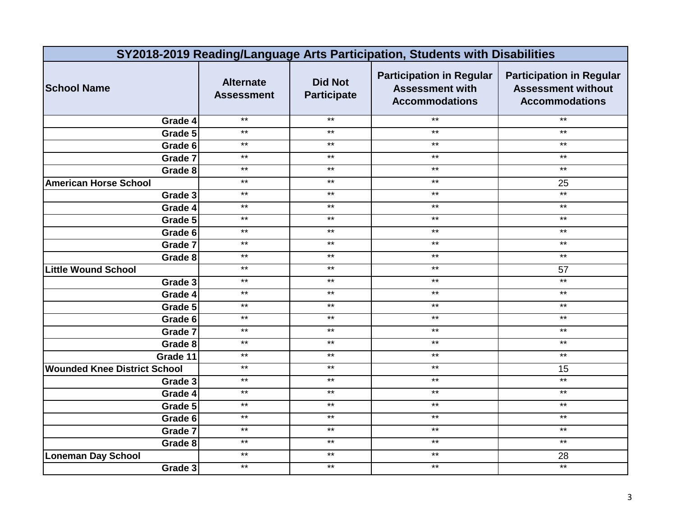|                                     | SY2018-2019 Reading/Language Arts Participation, Students with Disabilities |                                      |                                                                                    |                                                                                       |  |
|-------------------------------------|-----------------------------------------------------------------------------|--------------------------------------|------------------------------------------------------------------------------------|---------------------------------------------------------------------------------------|--|
| <b>School Name</b>                  | <b>Alternate</b><br><b>Assessment</b>                                       | <b>Did Not</b><br><b>Participate</b> | <b>Participation in Regular</b><br><b>Assessment with</b><br><b>Accommodations</b> | <b>Participation in Regular</b><br><b>Assessment without</b><br><b>Accommodations</b> |  |
| Grade 4                             | $***$                                                                       | $***$                                | $***$                                                                              | $***$                                                                                 |  |
| Grade 5                             | $***$                                                                       | $***$                                | $***$                                                                              | $***$                                                                                 |  |
| Grade 6                             | $***$                                                                       | $***$                                | $***$                                                                              | $\star\star$                                                                          |  |
| Grade 7                             | $***$                                                                       | $\star\star$                         | $***$                                                                              | $\star\star$                                                                          |  |
| Grade 8                             | $***$                                                                       | $\star\star$                         | $\star\star$                                                                       | $\star\star$                                                                          |  |
| <b>American Horse School</b>        | $***$                                                                       | $***$                                | $***$                                                                              | 25                                                                                    |  |
| Grade 3                             | $***$                                                                       | $\star\star$                         | $\star\star$                                                                       | $*$                                                                                   |  |
| Grade 4                             | $***$                                                                       | $***$                                | $***$                                                                              | $***$                                                                                 |  |
| Grade 5                             | $***$                                                                       | $***$                                | $***$                                                                              | $***$                                                                                 |  |
| Grade 6                             | $***$                                                                       | $\star\star$                         | $\star\star$                                                                       | $***$                                                                                 |  |
| Grade 7                             | $**$                                                                        | $***$                                | $***$                                                                              | $\star\star$                                                                          |  |
| Grade 8                             | $***$                                                                       | $***$                                | $***$                                                                              | $\star\star$                                                                          |  |
| <b>Little Wound School</b>          | $***$                                                                       | $***$                                | $***$                                                                              | 57                                                                                    |  |
| Grade 3                             | $***$                                                                       | $\star\star$                         | $***$                                                                              | $***$                                                                                 |  |
| Grade 4                             | $***$                                                                       | $***$                                | $***$                                                                              | $***$                                                                                 |  |
| Grade 5                             | $***$                                                                       | $***$                                | $***$                                                                              | $\star\star$                                                                          |  |
| Grade 6                             | $***$                                                                       | $***$                                | $***$                                                                              | $***$                                                                                 |  |
| Grade 7                             | $**$                                                                        | $***$                                | $***$                                                                              | $\star\star$                                                                          |  |
| Grade 8                             | $***$                                                                       | $***$                                | $***$                                                                              | $\star\star$                                                                          |  |
| Grade 11                            | $***$                                                                       | $\star\star$                         | $***$                                                                              | $***$                                                                                 |  |
| <b>Wounded Knee District School</b> | $***$                                                                       | $***$                                | $***$                                                                              | 15                                                                                    |  |
| Grade 3                             | $***$                                                                       | $***$                                | $***$                                                                              | $***$                                                                                 |  |
| Grade 4                             | $***$                                                                       | $***$                                | $***$                                                                              | $\star\star$                                                                          |  |
| Grade 5                             | $*$                                                                         | $***$                                | $***$                                                                              | $***$                                                                                 |  |
| Grade 6                             | $***$                                                                       | $***$                                | $***$                                                                              | $***$                                                                                 |  |
| Grade 7                             | $***$                                                                       | $\star\star$                         | $***$                                                                              | $\star\star$                                                                          |  |
| Grade 8                             | $***$                                                                       | $***$                                | $***$                                                                              | $*$                                                                                   |  |
| <b>Loneman Day School</b>           | $***$                                                                       | $***$                                | $***$                                                                              | 28                                                                                    |  |
| Grade 3                             | $***$                                                                       | $***$                                | $***$                                                                              | $\star\star$                                                                          |  |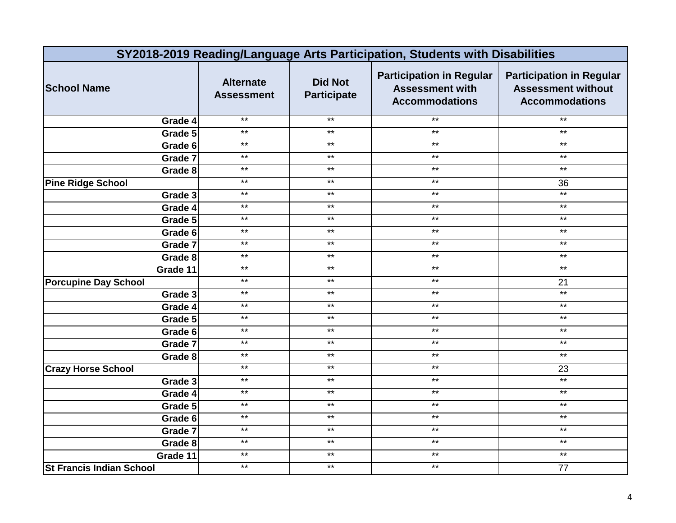|                                 | SY2018-2019 Reading/Language Arts Participation, Students with Disabilities |                                      |                                                                                    |                                                                                       |  |
|---------------------------------|-----------------------------------------------------------------------------|--------------------------------------|------------------------------------------------------------------------------------|---------------------------------------------------------------------------------------|--|
| <b>School Name</b>              | <b>Alternate</b><br><b>Assessment</b>                                       | <b>Did Not</b><br><b>Participate</b> | <b>Participation in Regular</b><br><b>Assessment with</b><br><b>Accommodations</b> | <b>Participation in Regular</b><br><b>Assessment without</b><br><b>Accommodations</b> |  |
| Grade 4                         | $***$                                                                       | $***$                                | $***$                                                                              | $***$                                                                                 |  |
| Grade 5                         | $***$                                                                       | $***$                                | $***$                                                                              | $***$                                                                                 |  |
| Grade 6                         | $***$                                                                       | $***$                                | $***$                                                                              | $\star\star$                                                                          |  |
| Grade 7                         | $\star\star$                                                                | $\star\star$                         | $***$                                                                              | $\star\star$                                                                          |  |
| Grade 8                         | $\star\star$                                                                | $\star\star$                         | $\star\star$                                                                       | $\star\star$                                                                          |  |
| <b>Pine Ridge School</b>        | $***$                                                                       | $***$                                | $***$                                                                              | 36                                                                                    |  |
| Grade 3                         | $\star\star$                                                                | $\star\star$                         | $\star\star$                                                                       | $*$                                                                                   |  |
| Grade 4                         | $***$                                                                       | $***$                                | $***$                                                                              | $***$                                                                                 |  |
| Grade 5                         | $***$                                                                       | $***$                                | $***$                                                                              | $***$                                                                                 |  |
| Grade 6                         | $\star\star$                                                                | $***$                                | $\star\star$                                                                       | $***$                                                                                 |  |
| Grade 7                         | $**$                                                                        | $***$                                | $***$                                                                              | $\star\star$                                                                          |  |
| Grade 8                         | $***$                                                                       | $***$                                | $\star\star$                                                                       | $\star\star$                                                                          |  |
| Grade 11                        | $***$                                                                       | $\star\star$                         | $\star\star$                                                                       | $\star\star$                                                                          |  |
| <b>Porcupine Day School</b>     | $***$                                                                       | $\star\star$                         | $***$                                                                              | 21                                                                                    |  |
| Grade 3                         | $***$                                                                       | $***$                                | $***$                                                                              | $***$                                                                                 |  |
| Grade 4                         | $***$                                                                       | $***$                                | $***$                                                                              | $\star\star$                                                                          |  |
| Grade 5                         | $***$                                                                       | $***$                                | $***$                                                                              | $***$                                                                                 |  |
| Grade 6                         | $*$                                                                         | $***$                                | $***$                                                                              | $\star\star$                                                                          |  |
| Grade 7                         | $***$                                                                       | $***$                                | $***$                                                                              | $\star\star$                                                                          |  |
| Grade 8                         | $***$                                                                       | $\star\star$                         | $***$                                                                              | $***$                                                                                 |  |
| <b>Crazy Horse School</b>       | $***$                                                                       | $***$                                | $***$                                                                              | 23                                                                                    |  |
| Grade 3                         | $***$                                                                       | $***$                                | $***$                                                                              | $***$                                                                                 |  |
| Grade 4                         | $***$                                                                       | $***$                                | $***$                                                                              | $\star\star$                                                                          |  |
| Grade 5                         | $*$                                                                         | $***$                                | $***$                                                                              | $***$                                                                                 |  |
| Grade 6                         | $***$                                                                       | $***$                                | $***$                                                                              | $***$                                                                                 |  |
| Grade 7                         | $\star\star$                                                                | $\star\star$                         | $***$                                                                              | $\star\star$                                                                          |  |
| Grade 8                         | $***$                                                                       | $***$                                | $***$                                                                              | $***$                                                                                 |  |
| Grade 11                        | $***$                                                                       | $***$                                | $***$                                                                              | $***$                                                                                 |  |
| <b>St Francis Indian School</b> | $***$                                                                       | $***$                                | $***$                                                                              | 77                                                                                    |  |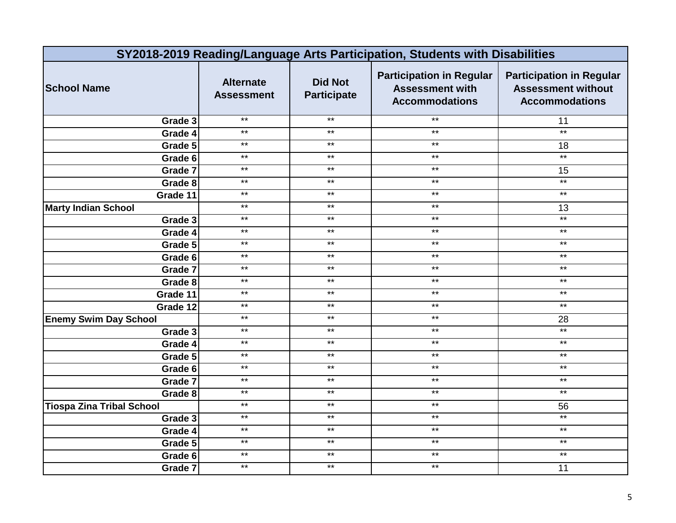|                                  | SY2018-2019 Reading/Language Arts Participation, Students with Disabilities |                                      |                                                                                    |                                                                                       |  |
|----------------------------------|-----------------------------------------------------------------------------|--------------------------------------|------------------------------------------------------------------------------------|---------------------------------------------------------------------------------------|--|
| <b>School Name</b>               | <b>Alternate</b><br><b>Assessment</b>                                       | <b>Did Not</b><br><b>Participate</b> | <b>Participation in Regular</b><br><b>Assessment with</b><br><b>Accommodations</b> | <b>Participation in Regular</b><br><b>Assessment without</b><br><b>Accommodations</b> |  |
| Grade 3                          | $***$                                                                       | $***$                                | $***$                                                                              | 11                                                                                    |  |
| Grade 4                          | $***$                                                                       | $***$                                | $\star\star$                                                                       | $*$                                                                                   |  |
| Grade 5                          | $***$                                                                       | $***$                                | $***$                                                                              | 18                                                                                    |  |
| Grade 6                          | $***$                                                                       | $***$                                | $***$                                                                              | $\star\star$                                                                          |  |
| Grade 7                          | $\star\star$                                                                | $***$                                | $***$                                                                              | 15                                                                                    |  |
| Grade 8                          | $***$                                                                       | $***$                                | $***$                                                                              | $*$                                                                                   |  |
| Grade 11                         | $***$                                                                       | $\star\star$                         | $***$                                                                              | $***$                                                                                 |  |
| <b>Marty Indian School</b>       | $***$                                                                       | $***$                                | $***$                                                                              | 13                                                                                    |  |
| Grade 3                          | $\star\star$                                                                | $\star\star$                         | $***$                                                                              | $\star\star$                                                                          |  |
| Grade 4                          | $*$                                                                         | $***$                                | $***$                                                                              | $*$                                                                                   |  |
| Grade 5                          | $**$                                                                        | $***$                                | $***$                                                                              | $***$                                                                                 |  |
| Grade 6                          | $***$                                                                       | $\star\star$                         | $\star\star$                                                                       | $\star\star$                                                                          |  |
| Grade 7                          | $***$                                                                       | $***$                                | $***$                                                                              | $\star\star$                                                                          |  |
| Grade 8                          | $***$                                                                       | $***$                                | $***$                                                                              | $\star\star$                                                                          |  |
| Grade 11                         | $***$                                                                       | $***$                                | $***$                                                                              | $***$                                                                                 |  |
| Grade 12                         | $***$                                                                       | $***$                                | $***$                                                                              | $***$                                                                                 |  |
| <b>Enemy Swim Day School</b>     | $***$                                                                       | $***$                                | $***$                                                                              | 28                                                                                    |  |
| Grade 3                          | $\star\star$                                                                | $***$                                | $***$                                                                              | $\star\star$                                                                          |  |
| Grade 4                          | $***$                                                                       | $\star\star$                         | $\star\star$                                                                       | $\star\star$                                                                          |  |
| Grade 5                          | $*$                                                                         | $\star\star$                         | $***$                                                                              | $\star\star$                                                                          |  |
| Grade 6                          | $***$                                                                       | $\star\star$                         | $\star\star$                                                                       | $\star\star$                                                                          |  |
| Grade 7                          | $***$                                                                       | $\star\star$                         | $\star\star$                                                                       | $***$                                                                                 |  |
| Grade 8                          | $***$                                                                       | $***$                                | $\star\star$                                                                       | $\star\star$                                                                          |  |
| <b>Tiospa Zina Tribal School</b> | $***$                                                                       | $***$                                | $***$                                                                              | 56                                                                                    |  |
| Grade 3                          | $\star\star$                                                                | $\star\star$                         | $\star\star$                                                                       | $*$                                                                                   |  |
| Grade 4                          | $***$                                                                       | $\star\star$                         | $\star\star$                                                                       | $\star\star$                                                                          |  |
| Grade 5                          | $***$                                                                       | $***$                                | $***$                                                                              | $\star\star$                                                                          |  |
| Grade 6                          | $***$                                                                       | $***$                                | $***$                                                                              | $***$                                                                                 |  |
| Grade 7                          | $***$                                                                       | $***$                                | $***$                                                                              | 11                                                                                    |  |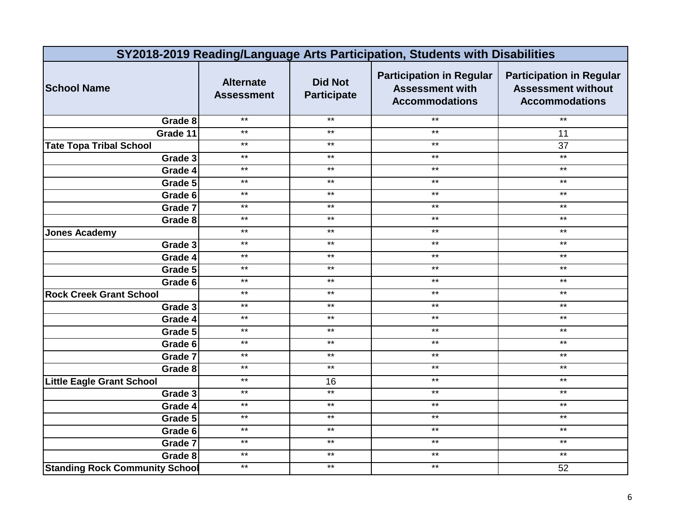|                                       |                                       |                                      | SY2018-2019 Reading/Language Arts Participation, Students with Disabilities        |                                                                                       |
|---------------------------------------|---------------------------------------|--------------------------------------|------------------------------------------------------------------------------------|---------------------------------------------------------------------------------------|
| <b>School Name</b>                    | <b>Alternate</b><br><b>Assessment</b> | <b>Did Not</b><br><b>Participate</b> | <b>Participation in Regular</b><br><b>Assessment with</b><br><b>Accommodations</b> | <b>Participation in Regular</b><br><b>Assessment without</b><br><b>Accommodations</b> |
| Grade 8                               | $***$                                 | $***$                                | $***$                                                                              | $\star\star$                                                                          |
| Grade 11                              | $***$                                 | $***$                                | $***$                                                                              | 11                                                                                    |
| <b>Tate Topa Tribal School</b>        | $***$                                 | $***$                                | $***$                                                                              | 37                                                                                    |
| Grade 3                               | $***$                                 | $***$                                | $***$                                                                              | $*$                                                                                   |
| Grade 4                               | $***$                                 | $***$                                | $\star\star$                                                                       | $\star\star$                                                                          |
| Grade 5                               | $***$                                 | $***$                                | $\star\star$                                                                       | $\star\star$                                                                          |
| Grade 6                               | $***$                                 | $\star\star$                         | $\star\star$                                                                       | $\star\star$                                                                          |
| Grade 7                               | $***$                                 | $***$                                | $***$                                                                              | $***$                                                                                 |
| Grade 8                               | $\star\star$                          | $\star\star$                         | $\star\star$                                                                       | $***$                                                                                 |
| <b>Jones Academy</b>                  | $***$                                 | $***$                                | $\star\star$                                                                       | $***$                                                                                 |
| Grade 3                               | $**$                                  | $***$                                | $***$                                                                              | $\star\star$                                                                          |
| Grade 4                               | $\star\star$                          | $***$                                | $***$                                                                              | $***$                                                                                 |
| Grade 5                               | $***$                                 | $***$                                | $***$                                                                              | $\star\star$                                                                          |
| Grade 6                               | $***$                                 | $***$                                | $***$                                                                              | $***$                                                                                 |
| <b>Rock Creek Grant School</b>        | $***$                                 | $***$                                | $***$                                                                              | $\star\star$                                                                          |
| Grade 3                               | $***$                                 | $\star\star$                         | $***$                                                                              | $***$                                                                                 |
| Grade 4                               | $***$                                 | $***$                                | $***$                                                                              | $***$                                                                                 |
| Grade 5                               | $***$                                 | $***$                                | $***$                                                                              | $\star\star$                                                                          |
| Grade 6                               | $***$                                 | $***$                                | $***$                                                                              | $***$                                                                                 |
| Grade 7                               | $***$                                 | $***$                                | $***$                                                                              | $\star\star$                                                                          |
| Grade 8                               | $***$                                 | $***$                                | $***$                                                                              | $\star\star$                                                                          |
| <b>Little Eagle Grant School</b>      | $***$                                 | 16                                   | $***$                                                                              | $***$                                                                                 |
| Grade 3                               | $***$                                 | $***$                                | $***$                                                                              | $\star\star$                                                                          |
| Grade 4                               | $*$                                   | $\star\star$                         | $***$                                                                              | $\star\star$                                                                          |
| Grade 5                               | $*$                                   | $***$                                | $***$                                                                              | $\star\star$                                                                          |
| Grade 6                               | $***$                                 | $\star\star$                         | $\star\star$                                                                       | $\star\star$                                                                          |
| Grade 7                               | $\star\star$                          | $\star\star$                         | $\star\star$                                                                       | $\star\star$                                                                          |
| Grade 8                               | $***$                                 | $***$                                | $***$                                                                              | $***$                                                                                 |
| <b>Standing Rock Community School</b> | $\star\star$                          | $\star\star$                         | $\star\star$                                                                       | 52                                                                                    |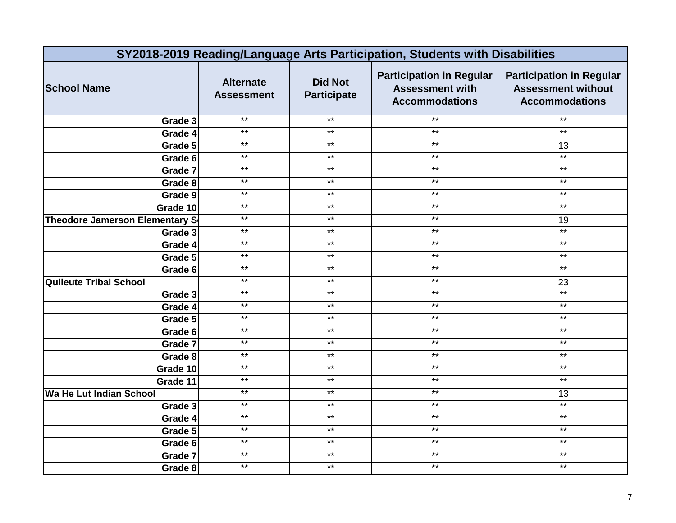|                                       | SY2018-2019 Reading/Language Arts Participation, Students with Disabilities |                                      |                                                                                    |                                                                                       |  |
|---------------------------------------|-----------------------------------------------------------------------------|--------------------------------------|------------------------------------------------------------------------------------|---------------------------------------------------------------------------------------|--|
| <b>School Name</b>                    | <b>Alternate</b><br><b>Assessment</b>                                       | <b>Did Not</b><br><b>Participate</b> | <b>Participation in Regular</b><br><b>Assessment with</b><br><b>Accommodations</b> | <b>Participation in Regular</b><br><b>Assessment without</b><br><b>Accommodations</b> |  |
| Grade 3                               | $***$                                                                       | $***$                                | $***$                                                                              | $***$                                                                                 |  |
| Grade 4                               | $***$                                                                       | $***$                                | $***$                                                                              | $***$                                                                                 |  |
| Grade 5                               | $***$                                                                       | $***$                                | $***$                                                                              | 13                                                                                    |  |
| Grade 6                               | $***$                                                                       | $***$                                | $***$                                                                              | $***$                                                                                 |  |
| Grade 7                               | $\star\star$                                                                | $***$                                | $***$                                                                              | $***$                                                                                 |  |
| Grade 8                               | $***$                                                                       | $***$                                | $***$                                                                              | $***$                                                                                 |  |
| Grade 9                               | $***$                                                                       | $\star\star$                         | $***$                                                                              | $\star\star$                                                                          |  |
| Grade 10                              | $***$                                                                       | $***$                                | $***$                                                                              | $***$                                                                                 |  |
| <b>Theodore Jamerson Elementary S</b> | $***$                                                                       | $\star\star$                         | $***$                                                                              | 19                                                                                    |  |
| Grade 3                               | $*$                                                                         | $***$                                | $***$                                                                              | $*$                                                                                   |  |
| Grade 4                               | $**$                                                                        | $***$                                | $***$                                                                              | $***$                                                                                 |  |
| Grade 5                               | $***$                                                                       | $\star\star$                         | $\star\star$                                                                       | $\star\star$                                                                          |  |
| Grade 6                               | $***$                                                                       | $***$                                | $***$                                                                              | $***$                                                                                 |  |
| <b>Quileute Tribal School</b>         | $***$                                                                       | $***$                                | $***$                                                                              | 23                                                                                    |  |
| Grade 3                               | $***$                                                                       | $***$                                | $***$                                                                              | $***$                                                                                 |  |
| Grade 4                               | $***$                                                                       | $***$                                | $***$                                                                              | $\star\star$                                                                          |  |
| Grade 5                               | $***$                                                                       | $***$                                | $***$                                                                              | $\star\star$                                                                          |  |
| Grade 6                               | $\star\star$                                                                | $***$                                | $***$                                                                              | $***$                                                                                 |  |
| Grade 7                               | $***$                                                                       | $\star\star$                         | $\star\star$                                                                       | $\star\star$                                                                          |  |
| Grade 8                               | $*$                                                                         | $\star\star$                         | $***$                                                                              | $\star\star$                                                                          |  |
| Grade 10                              | $***$                                                                       | $***$                                | $***$                                                                              | $\star\star$                                                                          |  |
| Grade 11                              | $***$                                                                       | $\star\star$                         | $***$                                                                              | $***$                                                                                 |  |
| Wa He Lut Indian School               | $***$                                                                       | $***$                                | $***$                                                                              | 13                                                                                    |  |
| Grade 3                               | $***$                                                                       | $***$                                | $***$                                                                              | $***$                                                                                 |  |
| Grade 4                               | $\star\star$                                                                | $\star\star$                         | $\star\star$                                                                       | $\star\star$                                                                          |  |
| Grade 5                               | $***$                                                                       | $***$                                | $***$                                                                              | $\star\star$                                                                          |  |
| Grade 6                               | $***$                                                                       | $***$                                | $***$                                                                              | $\star\star$                                                                          |  |
| Grade 7                               | $***$                                                                       | $***$                                | $***$                                                                              | $***$                                                                                 |  |
| Grade 8                               | $***$                                                                       | $***$                                | $***$                                                                              | $\star\star$                                                                          |  |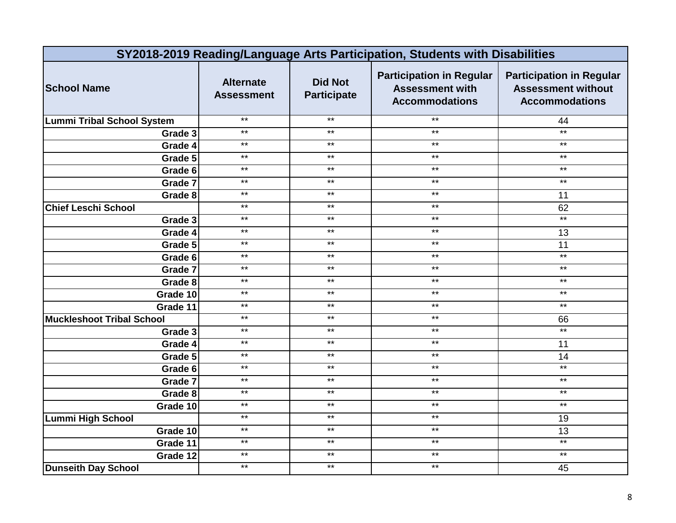|                                   | SY2018-2019 Reading/Language Arts Participation, Students with Disabilities |                                      |                                                                                    |                                                                                       |  |
|-----------------------------------|-----------------------------------------------------------------------------|--------------------------------------|------------------------------------------------------------------------------------|---------------------------------------------------------------------------------------|--|
| <b>School Name</b>                | <b>Alternate</b><br><b>Assessment</b>                                       | <b>Did Not</b><br><b>Participate</b> | <b>Participation in Regular</b><br><b>Assessment with</b><br><b>Accommodations</b> | <b>Participation in Regular</b><br><b>Assessment without</b><br><b>Accommodations</b> |  |
| <b>Lummi Tribal School System</b> | $***$                                                                       | $***$                                | $***$                                                                              | 44                                                                                    |  |
| Grade 3                           | $***$                                                                       | $***$                                | $***$                                                                              | $***$                                                                                 |  |
| Grade 4                           | $***$                                                                       | $***$                                | $***$                                                                              | $\star\star$                                                                          |  |
| Grade 5                           | $***$                                                                       | $***$                                | $***$                                                                              | $***$                                                                                 |  |
| Grade 6                           | $***$                                                                       | $***$                                | $***$                                                                              | $\star\star$                                                                          |  |
| Grade 7                           | $***$                                                                       | $***$                                | $***$                                                                              | $\star\star$                                                                          |  |
| Grade 8                           | $***$                                                                       | $***$                                | $***$                                                                              | 11                                                                                    |  |
| <b>Chief Leschi School</b>        | $***$                                                                       | $***$                                | $***$                                                                              | 62                                                                                    |  |
| Grade 3                           | $***$                                                                       | $\star\star$                         | $***$                                                                              | $***$                                                                                 |  |
| Grade 4                           | $***$                                                                       | $***$                                | $***$                                                                              | 13                                                                                    |  |
| Grade 5                           | $**$                                                                        | $\star\star$                         | $*$                                                                                | $\overline{11}$                                                                       |  |
| Grade 6                           | $***$                                                                       | $***$                                | $***$                                                                              | $\star\star$                                                                          |  |
| Grade 7                           | $***$                                                                       | $***$                                | $***$                                                                              | $\star\star$                                                                          |  |
| Grade 8                           | $***$                                                                       | $***$                                | $***$                                                                              | $\star\star$                                                                          |  |
| Grade 10                          | $***$                                                                       | $***$                                | $***$                                                                              | $***$                                                                                 |  |
| Grade 11                          | $\star\star$                                                                | $\star\star$                         | $\star\star$                                                                       | $***$                                                                                 |  |
| <b>Muckleshoot Tribal School</b>  | $***$                                                                       | $***$                                | $***$                                                                              | 66                                                                                    |  |
| Grade 3                           | $***$                                                                       | $***$                                | $***$                                                                              | $***$                                                                                 |  |
| Grade 4                           | $\star\star$                                                                | $***$                                | $***$                                                                              | 11                                                                                    |  |
| Grade 5                           | $***$                                                                       | $***$                                | $***$                                                                              | 14                                                                                    |  |
| Grade 6                           | $***$                                                                       | $\star\star$                         | $\star\star$                                                                       | $*$                                                                                   |  |
| Grade 7                           | $***$                                                                       | $***$                                | $***$                                                                              | $***$                                                                                 |  |
| Grade 8                           | $***$                                                                       | $***$                                | $***$                                                                              | $***$                                                                                 |  |
| Grade 10                          | $***$                                                                       | $\star\star$                         | $\star\star$                                                                       | $***$                                                                                 |  |
| <b>Lummi High School</b>          | $***$                                                                       | $***$                                | $***$                                                                              | 19                                                                                    |  |
| Grade 10                          | $***$                                                                       | $***$                                | $***$                                                                              | 13                                                                                    |  |
| Grade 11                          | $***$                                                                       | $***$                                | $***$                                                                              | $***$                                                                                 |  |
| Grade 12                          | $***$                                                                       | $***$                                | $***$                                                                              | $***$                                                                                 |  |
| <b>Dunseith Day School</b>        | $***$                                                                       | $***$                                | $***$                                                                              | 45                                                                                    |  |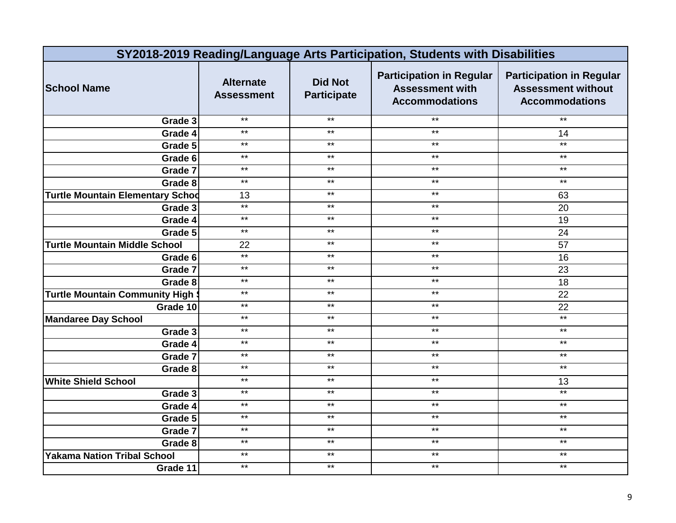|                                         | SY2018-2019 Reading/Language Arts Participation, Students with Disabilities |                                      |                                                                                    |                                                                                       |  |
|-----------------------------------------|-----------------------------------------------------------------------------|--------------------------------------|------------------------------------------------------------------------------------|---------------------------------------------------------------------------------------|--|
| <b>School Name</b>                      | <b>Alternate</b><br><b>Assessment</b>                                       | <b>Did Not</b><br><b>Participate</b> | <b>Participation in Regular</b><br><b>Assessment with</b><br><b>Accommodations</b> | <b>Participation in Regular</b><br><b>Assessment without</b><br><b>Accommodations</b> |  |
| Grade 3                                 | $***$                                                                       | $***$                                | $***$                                                                              | $\star\star$                                                                          |  |
| Grade 4                                 | $***$                                                                       | $***$                                | $***$                                                                              | 14                                                                                    |  |
| Grade 5                                 | $***$                                                                       | $***$                                | $***$                                                                              | $***$                                                                                 |  |
| Grade 6                                 | $***$                                                                       | $***$                                | $***$                                                                              | $***$                                                                                 |  |
| Grade 7                                 | $***$                                                                       | $\star\star$                         | $***$                                                                              | $***$                                                                                 |  |
| Grade 8                                 | $***$                                                                       | $***$                                | $***$                                                                              | $***$                                                                                 |  |
| <b>Turtle Mountain Elementary Schod</b> | 13                                                                          | $***$                                | $\star\star$                                                                       | 63                                                                                    |  |
| Grade 3                                 | $*$                                                                         | $***$                                | $***$                                                                              | 20                                                                                    |  |
| Grade 4                                 | $\star\star$                                                                | $\star\star$                         | $***$                                                                              | 19                                                                                    |  |
| Grade 5                                 | $\star\star$                                                                | $\star\star$                         | $***$                                                                              | 24                                                                                    |  |
| <b>Turtle Mountain Middle School</b>    | 22                                                                          | $***$                                | $***$                                                                              | $\overline{57}$                                                                       |  |
| Grade 6                                 | $*$                                                                         | $***$                                | $***$                                                                              | 16                                                                                    |  |
| Grade 7                                 | $***$                                                                       | $***$                                | $***$                                                                              | 23                                                                                    |  |
| Grade 8                                 | $***$                                                                       | $***$                                | $***$                                                                              | 18                                                                                    |  |
| <b>Turtle Mountain Community High \</b> | $***$                                                                       | $***$                                | $***$                                                                              | 22                                                                                    |  |
| Grade 10                                | $***$                                                                       | $***$                                | $***$                                                                              | 22                                                                                    |  |
| <b>Mandaree Day School</b>              | $***$                                                                       | $***$                                | $***$                                                                              | $\star\star$                                                                          |  |
| Grade 3                                 | $***$                                                                       | $***$                                | $***$                                                                              | $\star\star$                                                                          |  |
| Grade 4                                 | $\star\star$                                                                | $***$                                | $***$                                                                              | $***$                                                                                 |  |
| Grade 7                                 | $***$                                                                       | $***$                                | $***$                                                                              | $\star\star$                                                                          |  |
| Grade 8                                 | $***$                                                                       | $***$                                | $***$                                                                              | $***$                                                                                 |  |
| <b>White Shield School</b>              | $***$                                                                       | $***$                                | $***$                                                                              | 13                                                                                    |  |
| Grade 3                                 | $***$                                                                       | $***$                                | $***$                                                                              | $***$                                                                                 |  |
| Grade 4                                 | $\star\star$                                                                | $***$                                | $***$                                                                              | $***$                                                                                 |  |
| Grade 5                                 | $\star\star$                                                                | $***$                                | $***$                                                                              | $\star\star$                                                                          |  |
| Grade 7                                 | $***$                                                                       | $***$                                | $\star\star$                                                                       | $***$                                                                                 |  |
| Grade 8                                 | $\star\star$                                                                | $\star\star$                         | $***$                                                                              | $***$                                                                                 |  |
| <b>Yakama Nation Tribal School</b>      | $***$                                                                       | $***$                                | $***$                                                                              | $***$                                                                                 |  |
| Grade 11                                | $***$                                                                       | $***$                                | $***$                                                                              | $***$                                                                                 |  |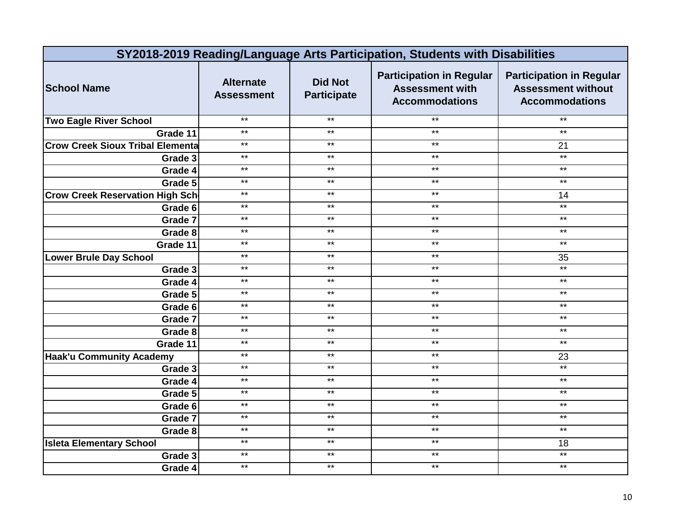| SY2018-2019 Reading/Language Arts Participation, Students with Disabilities |                                       |                                      |                                                                                    |                                                                                       |
|-----------------------------------------------------------------------------|---------------------------------------|--------------------------------------|------------------------------------------------------------------------------------|---------------------------------------------------------------------------------------|
| <b>School Name</b>                                                          | <b>Alternate</b><br><b>Assessment</b> | <b>Did Not</b><br><b>Participate</b> | <b>Participation in Regular</b><br><b>Assessment with</b><br><b>Accommodations</b> | <b>Participation in Regular</b><br><b>Assessment without</b><br><b>Accommodations</b> |
| <b>Two Eagle River School</b>                                               | $***$                                 | $***$                                | $***$                                                                              | $\star\star$                                                                          |
| Grade 11                                                                    | $***$                                 | $***$                                | $***$                                                                              | $\star\star$                                                                          |
| <b>Crow Creek Sioux Tribal Elementa</b>                                     | $***$                                 | $***$                                | $***$                                                                              | 21                                                                                    |
| Grade 3                                                                     | $***$                                 | $***$                                | $***$                                                                              | $\star\star$                                                                          |
| Grade 4                                                                     | $***$                                 | $***$                                | $***$                                                                              | $***$                                                                                 |
| Grade 5                                                                     | $***$                                 | $***$                                | $***$                                                                              | $\star\star$                                                                          |
| <b>Crow Creek Reservation High Sch</b>                                      | $***$                                 | $***$                                | $***$                                                                              | 14                                                                                    |
| Grade 6                                                                     | $***$                                 | $***$                                | $***$                                                                              | $***$                                                                                 |
| Grade 7                                                                     | $***$                                 | $***$                                | $***$                                                                              | $***$                                                                                 |
| Grade 8                                                                     | $***$                                 | $***$                                | $***$                                                                              | $\star\star$                                                                          |
| Grade 11                                                                    | $**$                                  | $**$                                 | $**$                                                                               | $***$                                                                                 |
| <b>Lower Brule Day School</b>                                               | $***$                                 | $***$                                | $***$                                                                              | 35                                                                                    |
| Grade 3                                                                     | $***$                                 | $\star\star$                         | $***$                                                                              | $\star\star$                                                                          |
| Grade 4                                                                     | $***$                                 | $***$                                | $***$                                                                              | $***$                                                                                 |
| Grade 5                                                                     | $***$                                 | $***$                                | $***$                                                                              | $***$                                                                                 |
| Grade 6                                                                     | $***$                                 | $\star\star$                         | $***$                                                                              | $\star\star$                                                                          |
| Grade 7                                                                     | $***$                                 | $***$                                | $***$                                                                              | $***$                                                                                 |
| Grade 8                                                                     | $***$                                 | $***$                                | $***$                                                                              | $\star\star$                                                                          |
| Grade 11                                                                    | $***$                                 | $\star\star$                         | $***$                                                                              | $***$                                                                                 |
| <b>Haak'u Community Academy</b>                                             | $***$                                 | $***$                                | $***$                                                                              | 23                                                                                    |
| Grade 3                                                                     | $***$                                 | $\star\star$                         | $***$                                                                              | $*$                                                                                   |
| Grade 4                                                                     | $***$                                 | $***$                                | $***$                                                                              | $***$                                                                                 |
| Grade 5                                                                     | $***$                                 | $***$                                | $***$                                                                              | $***$                                                                                 |
| Grade 6                                                                     | $***$                                 | $\star\star$                         | $***$                                                                              | $***$                                                                                 |
| Grade 7                                                                     | $***$                                 | $***$                                | $***$                                                                              | $***$                                                                                 |
| Grade 8                                                                     | $***$                                 | $***$                                | $***$                                                                              | $***$                                                                                 |
| <b>Isleta Elementary School</b>                                             | $***$                                 | $***$                                | $***$                                                                              | 18                                                                                    |
| Grade 3                                                                     | $***$                                 | $***$                                | $***$                                                                              | $\star\star$                                                                          |
| Grade 4                                                                     | $***$                                 | $***$                                | $***$                                                                              | $***$                                                                                 |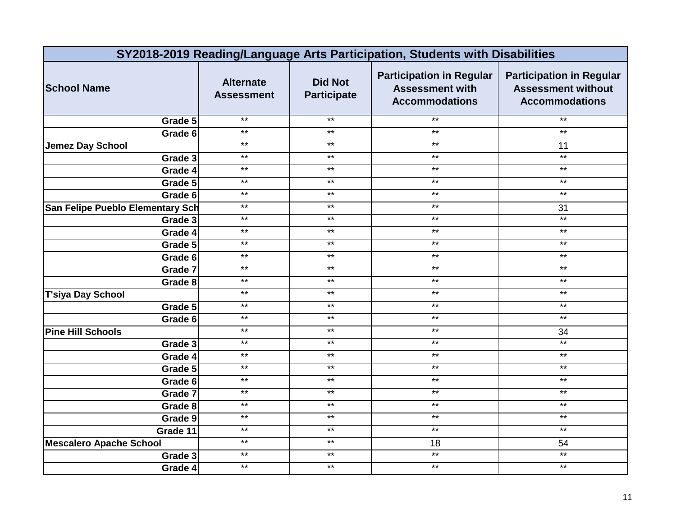|                                  | SY2018-2019 Reading/Language Arts Participation, Students with Disabilities |                                      |                                                                                    |                                                                                       |  |
|----------------------------------|-----------------------------------------------------------------------------|--------------------------------------|------------------------------------------------------------------------------------|---------------------------------------------------------------------------------------|--|
| <b>School Name</b>               | <b>Alternate</b><br><b>Assessment</b>                                       | <b>Did Not</b><br><b>Participate</b> | <b>Participation in Regular</b><br><b>Assessment with</b><br><b>Accommodations</b> | <b>Participation in Regular</b><br><b>Assessment without</b><br><b>Accommodations</b> |  |
| Grade 5                          | $***$                                                                       | $***$                                | $***$                                                                              | $\star\star$                                                                          |  |
| Grade 6                          | $***$                                                                       | $***$                                | $***$                                                                              | $***$                                                                                 |  |
| <b>Jemez Day School</b>          | $***$                                                                       | $***$                                | $***$                                                                              | 11                                                                                    |  |
| Grade 3                          | $***$                                                                       | $***$                                | $***$                                                                              | $*$                                                                                   |  |
| Grade 4                          | $***$                                                                       | $***$                                | $***$                                                                              | $\star\star$                                                                          |  |
| Grade 5                          | $***$                                                                       | $\star\star$                         | $***$                                                                              | $\star\star$                                                                          |  |
| Grade 6                          | $***$                                                                       | $***$                                | $***$                                                                              | $***$                                                                                 |  |
| San Felipe Pueblo Elementary Sch | $***$                                                                       | $***$                                | $***$                                                                              | 31                                                                                    |  |
| Grade 3                          | $***$                                                                       | $\star\star$                         | $***$                                                                              | $*$                                                                                   |  |
| Grade 4                          | $***$                                                                       | $***$                                | $***$                                                                              | $\star\star$                                                                          |  |
| Grade 5                          | $**$                                                                        | $\star\star$                         | $*$                                                                                | $*$                                                                                   |  |
| Grade 6                          | $***$                                                                       | $***$                                | $\star\star$                                                                       | $\star\star$                                                                          |  |
| Grade 7                          | $***$                                                                       | $***$                                | $***$                                                                              | $\star\star$                                                                          |  |
| Grade 8                          | $***$                                                                       | $***$                                | $***$                                                                              | $\star\star$                                                                          |  |
| <b>T'siya Day School</b>         | $***$                                                                       | $***$                                | $***$                                                                              | $***$                                                                                 |  |
| Grade 5                          | $\star\star$                                                                | $\star\star$                         | $\star\star$                                                                       | $***$                                                                                 |  |
| Grade 6                          | $***$                                                                       | $***$                                | $***$                                                                              | $***$                                                                                 |  |
| <b>Pine Hill Schools</b>         | $***$                                                                       | $***$                                | $***$                                                                              | 34                                                                                    |  |
| Grade 3                          | $\star\star$                                                                | $***$                                | $***$                                                                              | $\star\star$                                                                          |  |
| Grade 4                          | $***$                                                                       | $***$                                | $***$                                                                              | $***$                                                                                 |  |
| Grade 5                          | $***$                                                                       | $\star\star$                         | $\star\star$                                                                       | $\star\star$                                                                          |  |
| Grade 6                          | $***$                                                                       | $***$                                | $***$                                                                              | $\star\star$                                                                          |  |
| Grade 7                          | $***$                                                                       | $***$                                | $***$                                                                              | $***$                                                                                 |  |
| Grade 8                          | $***$                                                                       | $\star\star$                         | $\star\star$                                                                       | $***$                                                                                 |  |
| Grade 9                          | $***$                                                                       | $***$                                | $***$                                                                              | $***$                                                                                 |  |
| Grade 11                         | $***$                                                                       | $***$                                | $***$                                                                              | $\star\star$                                                                          |  |
| <b>Mescalero Apache School</b>   | $***$                                                                       | $***$                                | 18                                                                                 | 54                                                                                    |  |
| Grade 3                          | $***$                                                                       | $***$                                | $\star\star$                                                                       | $***$                                                                                 |  |
| Grade 4                          | $***$                                                                       | $***$                                | $***$                                                                              | $***$                                                                                 |  |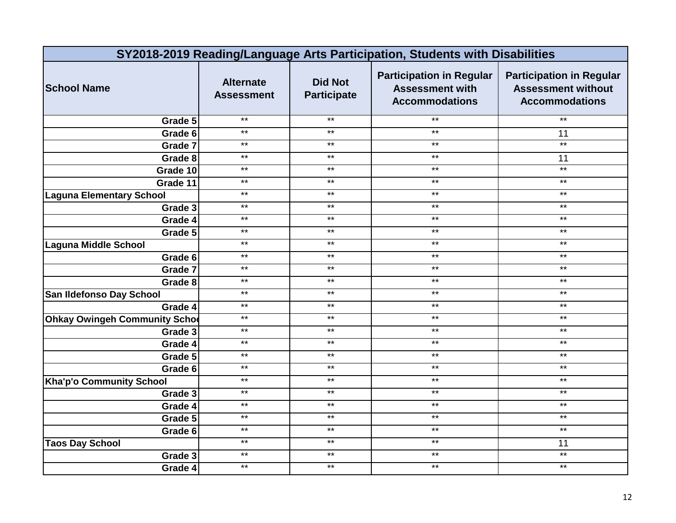| SY2018-2019 Reading/Language Arts Participation, Students with Disabilities |                                       |                                      |                                                                                    |                                                                                       |
|-----------------------------------------------------------------------------|---------------------------------------|--------------------------------------|------------------------------------------------------------------------------------|---------------------------------------------------------------------------------------|
| <b>School Name</b>                                                          | <b>Alternate</b><br><b>Assessment</b> | <b>Did Not</b><br><b>Participate</b> | <b>Participation in Regular</b><br><b>Assessment with</b><br><b>Accommodations</b> | <b>Participation in Regular</b><br><b>Assessment without</b><br><b>Accommodations</b> |
| Grade 5                                                                     | $***$                                 | $***$                                | $***$                                                                              | $\star\star$                                                                          |
| Grade 6                                                                     | $***$                                 | $***$                                | $***$                                                                              | 11                                                                                    |
| Grade 7                                                                     | $***$                                 | $***$                                | $***$                                                                              | $***$                                                                                 |
| Grade 8                                                                     | $***$                                 | $***$                                | $***$                                                                              | 11                                                                                    |
| Grade 10                                                                    | $***$                                 | $***$                                | $***$                                                                              | $\star\star$                                                                          |
| Grade 11                                                                    | $***$                                 | $***$                                | $***$                                                                              | $\star\star$                                                                          |
| <b>Laguna Elementary School</b>                                             | $***$                                 | $\star\star$                         | $\star\star$                                                                       | $\star\star$                                                                          |
| Grade 3                                                                     | $***$                                 | $***$                                | $***$                                                                              | $***$                                                                                 |
| Grade 4                                                                     | $\star\star$                          | $\star\star$                         | $***$                                                                              | $***$                                                                                 |
| Grade 5                                                                     | $***$                                 | $***$                                | $***$                                                                              | $***$                                                                                 |
| Laguna Middle School                                                        | $***$                                 | $***$                                | $***$                                                                              | $\star\star$                                                                          |
| Grade 6                                                                     | $\star\star$                          | $***$                                | $***$                                                                              | $***$                                                                                 |
| Grade 7                                                                     | $***$                                 | $***$                                | $***$                                                                              | $***$                                                                                 |
| Grade 8                                                                     | $***$                                 | $***$                                | $***$                                                                              | $\star\star$                                                                          |
| San Ildefonso Day School                                                    | $***$                                 | $***$                                | $***$                                                                              | $***$                                                                                 |
| Grade 4                                                                     | $***$                                 | $***$                                | $***$                                                                              | $***$                                                                                 |
| <b>Ohkay Owingeh Community Schoo</b>                                        | $***$                                 | $***$                                | $***$                                                                              | $***$                                                                                 |
| Grade 3                                                                     | $***$                                 | $***$                                | $***$                                                                              | $\star\star$                                                                          |
| Grade 4                                                                     | $*$                                   | $***$                                | $***$                                                                              | $***$                                                                                 |
| Grade 5                                                                     | $***$                                 | $***$                                | $***$                                                                              | $\star\star$                                                                          |
| Grade 6                                                                     | $***$                                 | $***$                                | $***$                                                                              | $\star\star$                                                                          |
| Kha'p'o Community School                                                    | $***$                                 | $***$                                | $***$                                                                              | $***$                                                                                 |
| Grade 3                                                                     | $***$                                 | $***$                                | $***$                                                                              | $***$                                                                                 |
| Grade 4                                                                     | $*$                                   | $***$                                | $***$                                                                              | $***$                                                                                 |
| Grade 5                                                                     | $*$                                   | $***$                                | $***$                                                                              | $\star\star$                                                                          |
| Grade 6                                                                     | $***$                                 | $***$                                | $***$                                                                              | $\star\star$                                                                          |
| <b>Taos Day School</b>                                                      | $***$                                 | $\star\star$                         | $***$                                                                              | 11                                                                                    |
| Grade 3                                                                     | $***$                                 | $***$                                | $***$                                                                              | $***$                                                                                 |
| Grade 4                                                                     | $\star\star$                          | $***$                                | $***$                                                                              | $***$                                                                                 |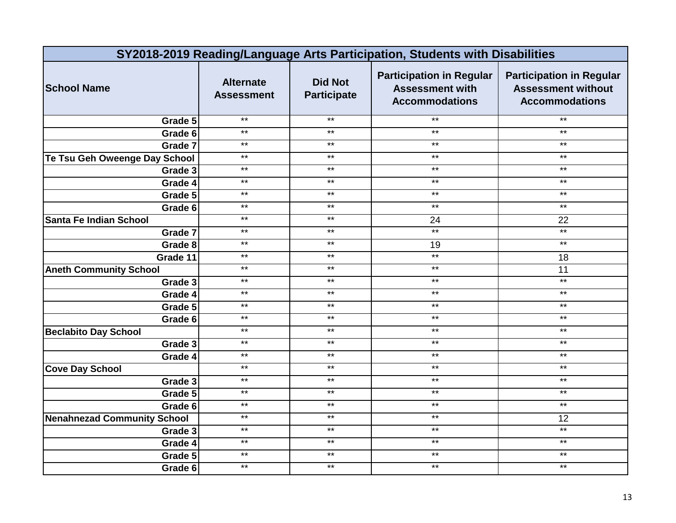| SY2018-2019 Reading/Language Arts Participation, Students with Disabilities |                                       |                                      |                                                                                    |                                                                                       |
|-----------------------------------------------------------------------------|---------------------------------------|--------------------------------------|------------------------------------------------------------------------------------|---------------------------------------------------------------------------------------|
| <b>School Name</b>                                                          | <b>Alternate</b><br><b>Assessment</b> | <b>Did Not</b><br><b>Participate</b> | <b>Participation in Regular</b><br><b>Assessment with</b><br><b>Accommodations</b> | <b>Participation in Regular</b><br><b>Assessment without</b><br><b>Accommodations</b> |
| Grade 5                                                                     | $***$                                 | $***$                                | $***$                                                                              | $\star\star$                                                                          |
| Grade 6                                                                     | $***$                                 | $***$                                | $***$                                                                              | $***$                                                                                 |
| Grade 7                                                                     | $***$                                 | $***$                                | $***$                                                                              | $\star\star$                                                                          |
| Te Tsu Geh Oweenge Day School                                               | $***$                                 | $***$                                | $***$                                                                              | $\star\star$                                                                          |
| Grade 3                                                                     | $***$                                 | $***$                                | $***$                                                                              | $\star\star$                                                                          |
| Grade 4                                                                     | $***$                                 | $***$                                | $***$                                                                              | $\star\star$                                                                          |
| Grade 5                                                                     | $***$                                 | $\star\star$                         | $\star\star$                                                                       | $\star\star$                                                                          |
| Grade 6                                                                     | $***$                                 | $***$                                | $***$                                                                              | $***$                                                                                 |
| Santa Fe Indian School                                                      | $***$                                 | $\star\star$                         | 24                                                                                 | 22                                                                                    |
| Grade 7                                                                     | $***$                                 | $***$                                | $*$                                                                                | $*$                                                                                   |
| Grade 8                                                                     | $**$                                  | $***$                                | 19                                                                                 | $***$                                                                                 |
| Grade 11                                                                    | $\star\star$                          | $***$                                | $\star\star$                                                                       | 18                                                                                    |
| <b>Aneth Community School</b>                                               | $***$                                 | $***$                                | $***$                                                                              | 11                                                                                    |
| Grade 3                                                                     | $***$                                 | $***$                                | $***$                                                                              | $***$                                                                                 |
| Grade 4                                                                     | $***$                                 | $***$                                | $***$                                                                              | $\star\star$                                                                          |
| Grade 5                                                                     | $***$                                 | $\star\star$                         | $***$                                                                              | $***$                                                                                 |
| Grade 6                                                                     | $***$                                 | $***$                                | $***$                                                                              | $***$                                                                                 |
| <b>Beclabito Day School</b>                                                 | $***$                                 | $***$                                | $***$                                                                              | $\star\star$                                                                          |
| Grade 3                                                                     | $***$                                 | $***$                                | $***$                                                                              | $***$                                                                                 |
| Grade 4                                                                     | $***$                                 | $***$                                | $***$                                                                              | $\star\star$                                                                          |
| <b>Cove Day School</b>                                                      | $***$                                 | $\star\star$                         | $***$                                                                              | $\star\star$                                                                          |
| Grade 3                                                                     | $***$                                 | $***$                                | $***$                                                                              | $***$                                                                                 |
| Grade 5                                                                     | $***$                                 | $***$                                | $***$                                                                              | $\star\star$                                                                          |
| Grade 6                                                                     | $***$                                 | $***$                                | $***$                                                                              | $*$                                                                                   |
| <b>Nenahnezad Community School</b>                                          | $*$                                   | $***$                                | $***$                                                                              | 12                                                                                    |
| Grade 3                                                                     | $***$                                 | $***$                                | $***$                                                                              | $*$                                                                                   |
| Grade 4                                                                     | $\star\star$                          | $\star\star$                         | $\star\star$                                                                       | $\star\star$                                                                          |
| Grade 5                                                                     | $***$                                 | $***$                                | $***$                                                                              | $***$                                                                                 |
| Grade 6                                                                     | $***$                                 | $***$                                | $\star\star$                                                                       | $***$                                                                                 |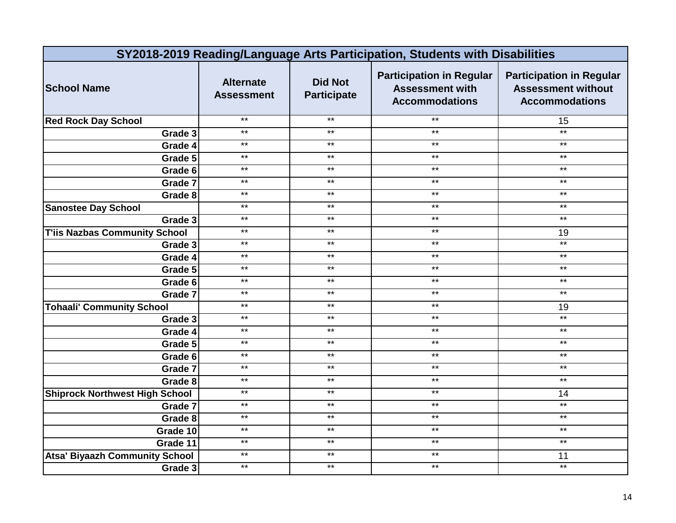|                                       | SY2018-2019 Reading/Language Arts Participation, Students with Disabilities |                                      |                                                                                    |                                                                                       |  |
|---------------------------------------|-----------------------------------------------------------------------------|--------------------------------------|------------------------------------------------------------------------------------|---------------------------------------------------------------------------------------|--|
| <b>School Name</b>                    | <b>Alternate</b><br><b>Assessment</b>                                       | <b>Did Not</b><br><b>Participate</b> | <b>Participation in Regular</b><br><b>Assessment with</b><br><b>Accommodations</b> | <b>Participation in Regular</b><br><b>Assessment without</b><br><b>Accommodations</b> |  |
| <b>Red Rock Day School</b>            | $***$                                                                       | $***$                                | $***$                                                                              | 15                                                                                    |  |
| Grade 3                               | $***$                                                                       | $***$                                | $***$                                                                              | $*$                                                                                   |  |
| Grade 4                               | $***$                                                                       | $***$                                | $***$                                                                              | $\star\star$                                                                          |  |
| Grade 5                               | $***$                                                                       | $\star\star$                         | $***$                                                                              | $***$                                                                                 |  |
| Grade 6                               | $***$                                                                       | $\star\star$                         | $***$                                                                              | $\star\star$                                                                          |  |
| Grade 7                               | $***$                                                                       | $***$                                | $***$                                                                              | $\star\star$                                                                          |  |
| Grade 8                               | $***$                                                                       | $\star\star$                         | $\star\star$                                                                       | $\star\star$                                                                          |  |
| <b>Sanostee Day School</b>            | $***$                                                                       | $\star\star$                         | $***$                                                                              | $\star\star$                                                                          |  |
| Grade 3                               | $***$                                                                       | $***$                                | $***$                                                                              | $***$                                                                                 |  |
| <b>T'iis Nazbas Community School</b>  | $***$                                                                       | $\star\star$                         | $\star\star$                                                                       | 19                                                                                    |  |
| Grade 3                               | $***$                                                                       | $***$                                | $***$                                                                              | $**$                                                                                  |  |
| Grade 4                               | $***$                                                                       | $***$                                | $***$                                                                              | $***$                                                                                 |  |
| Grade 5                               | $***$                                                                       | $***$                                | $***$                                                                              | $\star\star$                                                                          |  |
| Grade 6                               | $***$                                                                       | $\star\star$                         | $***$                                                                              | $\star\star$                                                                          |  |
| Grade 7                               | $***$                                                                       | $***$                                | $***$                                                                              | $***$                                                                                 |  |
| <b>Tohaali' Community School</b>      | $***$                                                                       | $***$                                | $***$                                                                              | 19                                                                                    |  |
| Grade 3                               | $***$                                                                       | $***$                                | $***$                                                                              | $*$                                                                                   |  |
| Grade 4                               | $**$                                                                        | $***$                                | $***$                                                                              | $\star\star$                                                                          |  |
| Grade 5                               | $***$                                                                       | $\star\star$                         | $***$                                                                              | $\star\star$                                                                          |  |
| Grade 6                               | $***$                                                                       | $\star\star$                         | $***$                                                                              | $***$                                                                                 |  |
| Grade 7                               | $***$                                                                       | $***$                                | $***$                                                                              | $***$                                                                                 |  |
| Grade 8                               | $***$                                                                       | $***$                                | $***$                                                                              | $***$                                                                                 |  |
| <b>Shiprock Northwest High School</b> | $***$                                                                       | $***$                                | $***$                                                                              | 14                                                                                    |  |
| Grade 7                               | $*$                                                                         | $***$                                | $***$                                                                              | $***$                                                                                 |  |
| Grade 8                               | $***$                                                                       | $***$                                | $***$                                                                              | $***$                                                                                 |  |
| Grade 10                              | $***$                                                                       | $\star\star$                         | $***$                                                                              | $\star\star$                                                                          |  |
| Grade 11                              | $***$                                                                       | $***$                                | $***$                                                                              | $*$                                                                                   |  |
| <b>Atsa' Biyaazh Community School</b> | $***$                                                                       | $***$                                | $***$                                                                              | 11                                                                                    |  |
| Grade 3                               | $***$                                                                       | $***$                                | $***$                                                                              | $\star\star$                                                                          |  |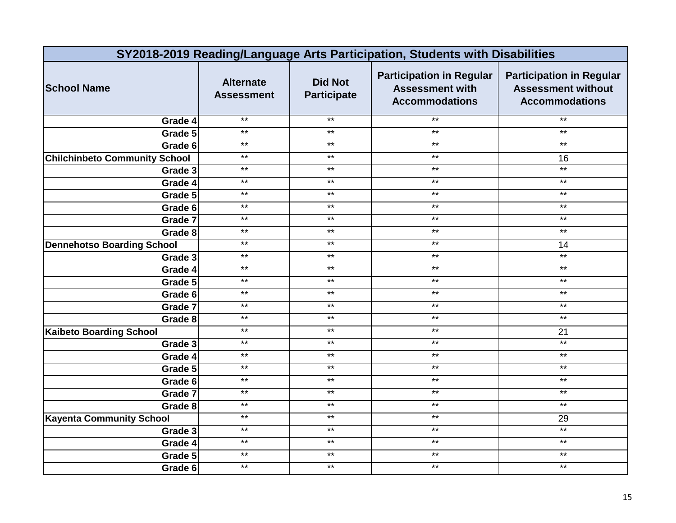|                                      | SY2018-2019 Reading/Language Arts Participation, Students with Disabilities |                                      |                                                                                    |                                                                                       |  |
|--------------------------------------|-----------------------------------------------------------------------------|--------------------------------------|------------------------------------------------------------------------------------|---------------------------------------------------------------------------------------|--|
| <b>School Name</b>                   | <b>Alternate</b><br><b>Assessment</b>                                       | <b>Did Not</b><br><b>Participate</b> | <b>Participation in Regular</b><br><b>Assessment with</b><br><b>Accommodations</b> | <b>Participation in Regular</b><br><b>Assessment without</b><br><b>Accommodations</b> |  |
| Grade 4                              | $***$                                                                       | $***$                                | $***$                                                                              | $\star\star$                                                                          |  |
| Grade 5                              | $***$                                                                       | $***$                                | $***$                                                                              | $***$                                                                                 |  |
| Grade 6                              | $***$                                                                       | $***$                                | $***$                                                                              | $***$                                                                                 |  |
| <b>Chilchinbeto Community School</b> | $***$                                                                       | $***$                                | $***$                                                                              | 16                                                                                    |  |
| Grade 3                              | $***$                                                                       | $***$                                | $***$                                                                              | $*$                                                                                   |  |
| Grade 4                              | $***$                                                                       | $***$                                | $***$                                                                              | $\star\star$                                                                          |  |
| Grade 5                              | $***$                                                                       | $\star\star$                         | $\star\star$                                                                       | $\star\star$                                                                          |  |
| Grade 6                              | $***$                                                                       | $***$                                | $***$                                                                              | $***$                                                                                 |  |
| Grade 7                              | $***$                                                                       | $\star\star$                         | $\star\star$                                                                       | $***$                                                                                 |  |
| Grade 8                              | $***$                                                                       | $***$                                | $***$                                                                              | $\star\star$                                                                          |  |
| <b>Dennehotso Boarding School</b>    | $***$                                                                       | $***$                                | $***$                                                                              | 14                                                                                    |  |
| Grade $3$                            | $\star\star$                                                                | $***$                                | $***$                                                                              | $\star\star$                                                                          |  |
| Grade 4                              | $***$                                                                       | $***$                                | $***$                                                                              | $***$                                                                                 |  |
| Grade 5                              | $***$                                                                       | $\star\star$                         | $***$                                                                              | $\star\star$                                                                          |  |
| Grade 6                              | $***$                                                                       | $\star\star$                         | $***$                                                                              | $\star\star$                                                                          |  |
| Grade 7                              | $***$                                                                       | $\star\star$                         | $***$                                                                              | $***$                                                                                 |  |
| Grade 8                              | $***$                                                                       | $***$                                | $***$                                                                              | $\star\star$                                                                          |  |
| <b>Kaibeto Boarding School</b>       | $***$                                                                       | $***$                                | $***$                                                                              | 21                                                                                    |  |
| Grade 3                              | $***$                                                                       | $***$                                | $***$                                                                              | $*$                                                                                   |  |
| Grade 4                              | $***$                                                                       | $***$                                | $***$                                                                              | $\star\star$                                                                          |  |
| Grade 5                              | $***$                                                                       | $\star\star$                         | $***$                                                                              | $\star\star$                                                                          |  |
| Grade 6                              | $***$                                                                       | $***$                                | $***$                                                                              | $***$                                                                                 |  |
| Grade 7                              | $***$                                                                       | $***$                                | $***$                                                                              | $\star\star$                                                                          |  |
| Grade 8                              | $***$                                                                       | $***$                                | $***$                                                                              | $\star\star$                                                                          |  |
| <b>Kayenta Community School</b>      | $*$                                                                         | $***$                                | $***$                                                                              | 29                                                                                    |  |
| Grade 3                              | $***$                                                                       | $***$                                | $***$                                                                              | $*$                                                                                   |  |
| Grade 4                              | $\star\star$                                                                | $\star\star$                         | $\star\star$                                                                       | $\star\star$                                                                          |  |
| Grade 5                              | $***$                                                                       | $***$                                | $***$                                                                              | $***$                                                                                 |  |
| Grade 6                              | $***$                                                                       | $***$                                | $\star\star$                                                                       | $***$                                                                                 |  |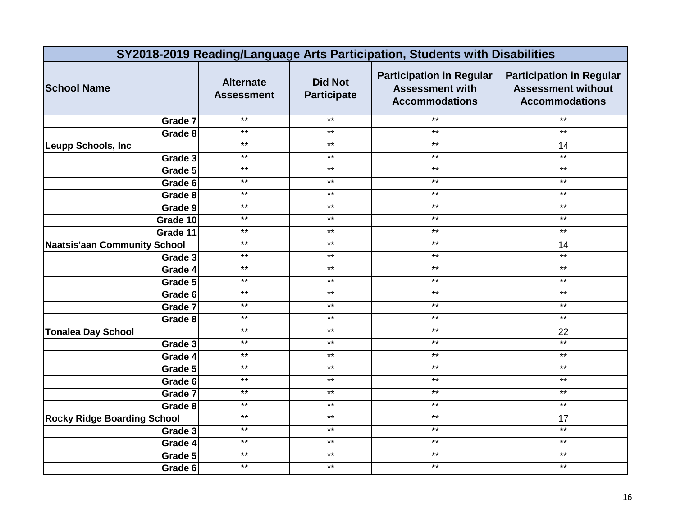|                                     | SY2018-2019 Reading/Language Arts Participation, Students with Disabilities |                                      |                                                                                    |                                                                                       |  |
|-------------------------------------|-----------------------------------------------------------------------------|--------------------------------------|------------------------------------------------------------------------------------|---------------------------------------------------------------------------------------|--|
| <b>School Name</b>                  | <b>Alternate</b><br><b>Assessment</b>                                       | <b>Did Not</b><br><b>Participate</b> | <b>Participation in Regular</b><br><b>Assessment with</b><br><b>Accommodations</b> | <b>Participation in Regular</b><br><b>Assessment without</b><br><b>Accommodations</b> |  |
| Grade 7                             | $***$                                                                       | $***$                                | $***$                                                                              | $\star\star$                                                                          |  |
| Grade 8                             | $***$                                                                       | $\star\star$                         | $***$                                                                              | $***$                                                                                 |  |
| Leupp Schools, Inc                  | $***$                                                                       | $***$                                | $***$                                                                              | 14                                                                                    |  |
| Grade 3                             | $***$                                                                       | $***$                                | $***$                                                                              | $*$                                                                                   |  |
| Grade 5                             | $***$                                                                       | $***$                                | $\star\star$                                                                       | $\star\star$                                                                          |  |
| Grade 6                             | $***$                                                                       | $\star\star$                         | $***$                                                                              | $\star\star$                                                                          |  |
| Grade 8                             | $***$                                                                       | $***$                                | $***$                                                                              | $***$                                                                                 |  |
| Grade 9                             | $***$                                                                       | $***$                                | $***$                                                                              | $***$                                                                                 |  |
| Grade 10                            | $***$                                                                       | $\star\star$                         | $***$                                                                              | $***$                                                                                 |  |
| Grade 11                            | $***$                                                                       | $\star\star$                         | $***$                                                                              | $\star\star$                                                                          |  |
| <b>Naatsis'aan Community School</b> | $**$                                                                        | $***$                                | $***$                                                                              | 14                                                                                    |  |
| Grade 3                             | $\star\star$                                                                | $***$                                | $***$                                                                              | $\star\star$                                                                          |  |
| Grade 4                             | $***$                                                                       | $***$                                | $***$                                                                              | $***$                                                                                 |  |
| Grade 5                             | $***$                                                                       | $***$                                | $***$                                                                              | $\star\star$                                                                          |  |
| Grade 6                             | $***$                                                                       | $***$                                | $***$                                                                              | $***$                                                                                 |  |
| Grade 7                             | $***$                                                                       | $\star\star$                         | $***$                                                                              | $***$                                                                                 |  |
| Grade 8                             | $***$                                                                       | $***$                                | $***$                                                                              | $\star\star$                                                                          |  |
| <b>Tonalea Day School</b>           | $***$                                                                       | $***$                                | $\star\star$                                                                       | 22                                                                                    |  |
| Grade 3                             | $***$                                                                       | $***$                                | $\star\star$                                                                       | $***$                                                                                 |  |
| Grade 4                             | $***$                                                                       | $***$                                | $***$                                                                              | $\star\star$                                                                          |  |
| Grade 5                             | $***$                                                                       | $***$                                | $***$                                                                              | $***$                                                                                 |  |
| Grade 6                             | $\star\star$                                                                | $***$                                | $***$                                                                              | $***$                                                                                 |  |
| Grade 7                             | $***$                                                                       | $***$                                | $***$                                                                              | $***$                                                                                 |  |
| Grade 8                             | $***$                                                                       | $***$                                | $***$                                                                              | $***$                                                                                 |  |
| <b>Rocky Ridge Boarding School</b>  | $\star\star$                                                                | $***$                                | $***$                                                                              | 17                                                                                    |  |
| Grade 3                             | $***$                                                                       | $\star\star$                         | $***$                                                                              | $***$                                                                                 |  |
| Grade 4                             | $***$                                                                       | $\star\star$                         | $***$                                                                              | $\star\star$                                                                          |  |
| Grade 5                             | $***$                                                                       | $***$                                | $***$                                                                              | $***$                                                                                 |  |
| Grade 6                             | $***$                                                                       | $***$                                | $***$                                                                              | $\star\star$                                                                          |  |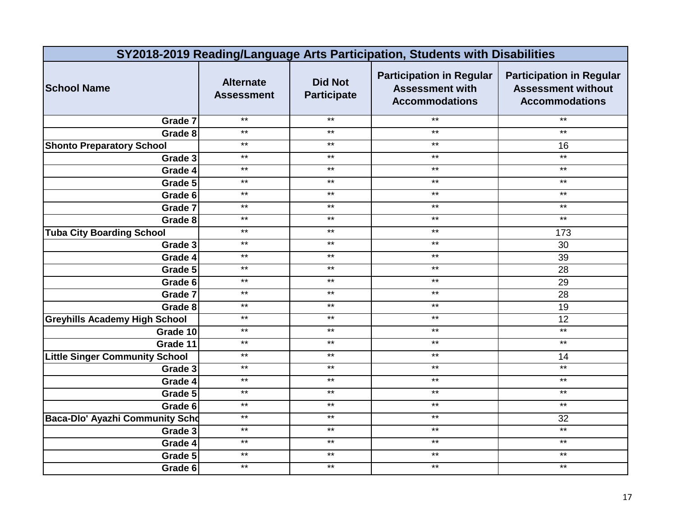|                                       | SY2018-2019 Reading/Language Arts Participation, Students with Disabilities |                                      |                                                                                    |                                                                                       |  |
|---------------------------------------|-----------------------------------------------------------------------------|--------------------------------------|------------------------------------------------------------------------------------|---------------------------------------------------------------------------------------|--|
| <b>School Name</b>                    | <b>Alternate</b><br><b>Assessment</b>                                       | <b>Did Not</b><br><b>Participate</b> | <b>Participation in Regular</b><br><b>Assessment with</b><br><b>Accommodations</b> | <b>Participation in Regular</b><br><b>Assessment without</b><br><b>Accommodations</b> |  |
| Grade 7                               | $***$                                                                       | $***$                                | $***$                                                                              | $\star\star$                                                                          |  |
| Grade 8                               | $***$                                                                       | $\star\star$                         | $***$                                                                              | $***$                                                                                 |  |
| <b>Shonto Preparatory School</b>      | $***$                                                                       | $***$                                | $***$                                                                              | 16                                                                                    |  |
| Grade 3                               | $***$                                                                       | $\star\star$                         | $***$                                                                              | $*$                                                                                   |  |
| Grade 4                               | $***$                                                                       | $***$                                | $***$                                                                              | $\star\star$                                                                          |  |
| Grade 5                               | $***$                                                                       | $***$                                | $***$                                                                              | $\star\star$                                                                          |  |
| Grade 6                               | $***$                                                                       | $***$                                | $***$                                                                              | $***$                                                                                 |  |
| Grade 7                               | $***$                                                                       | $***$                                | $***$                                                                              | $***$                                                                                 |  |
| Grade 8                               | $***$                                                                       | $\star\star$                         | $***$                                                                              | $***$                                                                                 |  |
| <b>Tuba City Boarding School</b>      | $***$                                                                       | $***$                                | $***$                                                                              | 173                                                                                   |  |
| Grade 3                               | $**$                                                                        | $***$                                | $***$                                                                              | 30                                                                                    |  |
| Grade 4                               | $\star\star$                                                                | $***$                                | $***$                                                                              | 39                                                                                    |  |
| Grade 5                               | $***$                                                                       | $***$                                | $***$                                                                              | 28                                                                                    |  |
| Grade 6                               | $***$                                                                       | $***$                                | $***$                                                                              | 29                                                                                    |  |
| Grade 7                               | $***$                                                                       | $***$                                | $***$                                                                              | 28                                                                                    |  |
| Grade 8                               | $***$                                                                       | $\star\star$                         | $***$                                                                              | 19                                                                                    |  |
| <b>Greyhills Academy High School</b>  | $***$                                                                       | $***$                                | $***$                                                                              | 12                                                                                    |  |
| Grade 10                              | $***$                                                                       | $***$                                | $***$                                                                              | $\star\star$                                                                          |  |
| Grade 11                              | $***$                                                                       | $***$                                | $\star\star$                                                                       | $\star\star$                                                                          |  |
| <b>Little Singer Community School</b> | $*$                                                                         | $***$                                | $***$                                                                              | 14                                                                                    |  |
| Grade 3                               | $***$                                                                       | $***$                                | $***$                                                                              | $***$                                                                                 |  |
| Grade 4                               | $\star\star$                                                                | $***$                                | $***$                                                                              | $***$                                                                                 |  |
| Grade 5                               | $***$                                                                       | $***$                                | $***$                                                                              | $***$                                                                                 |  |
| Grade 6                               | $***$                                                                       | $***$                                | $***$                                                                              | $***$                                                                                 |  |
| Baca-Dlo' Ayazhi Community Scho       | $\star\star$                                                                | $***$                                | $***$                                                                              | 32                                                                                    |  |
| Grade 3                               | $***$                                                                       | $\star\star$                         | $***$                                                                              | $***$                                                                                 |  |
| Grade 4                               | $***$                                                                       | $\star\star$                         | $***$                                                                              | $\star\star$                                                                          |  |
| Grade 5                               | $***$                                                                       | $***$                                | $***$                                                                              | $***$                                                                                 |  |
| Grade 6                               | $***$                                                                       | $\star\star$                         | $***$                                                                              | $\star\star$                                                                          |  |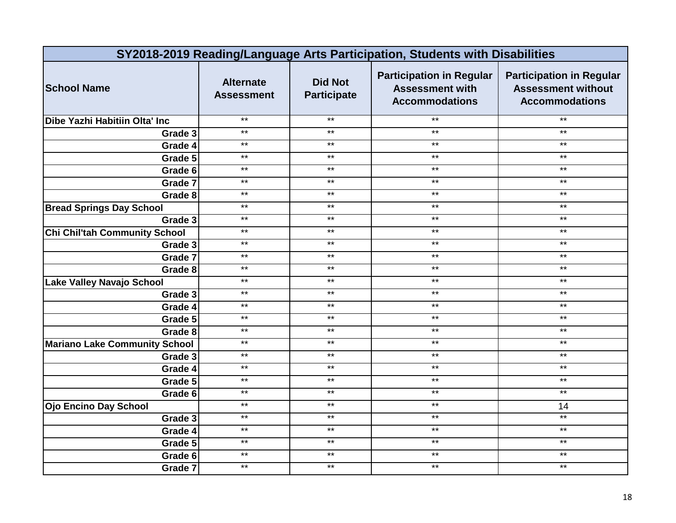|                                      | SY2018-2019 Reading/Language Arts Participation, Students with Disabilities |                                      |                                                                                    |                                                                                       |  |
|--------------------------------------|-----------------------------------------------------------------------------|--------------------------------------|------------------------------------------------------------------------------------|---------------------------------------------------------------------------------------|--|
| <b>School Name</b>                   | <b>Alternate</b><br><b>Assessment</b>                                       | <b>Did Not</b><br><b>Participate</b> | <b>Participation in Regular</b><br><b>Assessment with</b><br><b>Accommodations</b> | <b>Participation in Regular</b><br><b>Assessment without</b><br><b>Accommodations</b> |  |
| Dibe Yazhi Habitiin Olta' Inc        | $***$                                                                       | $***$                                | $***$                                                                              | $\star\star$                                                                          |  |
| Grade 3                              | $***$                                                                       | $***$                                | $***$                                                                              | $***$                                                                                 |  |
| Grade 4                              | $***$                                                                       | $\star\star$                         | $***$                                                                              | $***$                                                                                 |  |
| Grade 5                              | $***$                                                                       | $***$                                | $***$                                                                              | $***$                                                                                 |  |
| Grade 6                              | $***$                                                                       | $***$                                | $***$                                                                              | $***$                                                                                 |  |
| Grade 7                              | $***$                                                                       | $***$                                | $***$                                                                              | $\star\star$                                                                          |  |
| Grade 8                              | $***$                                                                       | $\star\star$                         | $***$                                                                              | $\star\star$                                                                          |  |
| <b>Bread Springs Day School</b>      | $***$                                                                       | $\star\star$                         | $***$                                                                              | $***$                                                                                 |  |
| Grade 3                              | $***$                                                                       | $\star\star$                         | $***$                                                                              | $***$                                                                                 |  |
| <b>Chi Chil'tah Community School</b> | $***$                                                                       | $***$                                | $***$                                                                              | $***$                                                                                 |  |
| Grade 3                              | $**$                                                                        | $***$                                | $***$                                                                              | $\star\star$                                                                          |  |
| Grade 7                              | $***$                                                                       | $***$                                | $***$                                                                              | $***$                                                                                 |  |
| Grade 8                              | $***$                                                                       | $***$                                | $***$                                                                              | $\star\star$                                                                          |  |
| <b>Lake Valley Navajo School</b>     | $***$                                                                       | $***$                                | $***$                                                                              | $\star\star$                                                                          |  |
| Grade 3                              | $***$                                                                       | $***$                                | $***$                                                                              | $***$                                                                                 |  |
| Grade 4                              | $***$                                                                       | $\star\star$                         | $***$                                                                              | $***$                                                                                 |  |
| Grade 5                              | $***$                                                                       | $***$                                | $***$                                                                              | $***$                                                                                 |  |
| Grade 8                              | $***$                                                                       | $***$                                | $***$                                                                              | $\star\star$                                                                          |  |
| <b>Mariano Lake Community School</b> | $***$                                                                       | $***$                                | $***$                                                                              | $\star\star$                                                                          |  |
| Grade 3                              | $***$                                                                       | $\star\star$                         | $***$                                                                              | $***$                                                                                 |  |
| Grade 4                              | $***$                                                                       | $\star\star$                         | $***$                                                                              | $\star\star$                                                                          |  |
| Grade 5                              | $***$                                                                       | $***$                                | $***$                                                                              | $***$                                                                                 |  |
| Grade 6                              | $***$                                                                       | $\star\star$                         | $***$                                                                              | $\star\star$                                                                          |  |
| <b>Ojo Encino Day School</b>         | $***$                                                                       | $***$                                | $***$                                                                              | 14                                                                                    |  |
| Grade 3                              | $*$                                                                         | $***$                                | $***$                                                                              | $\star\star$                                                                          |  |
| Grade 4                              | $***$                                                                       | $***$                                | $***$                                                                              | $\star\star$                                                                          |  |
| Grade 5                              | $\star\star$                                                                | $\star\star$                         | $***$                                                                              | $***$                                                                                 |  |
| Grade 6                              | $***$                                                                       | $***$                                | $***$                                                                              | $***$                                                                                 |  |
| Grade 7                              | $***$                                                                       | $***$                                | $\star\star$                                                                       | $***$                                                                                 |  |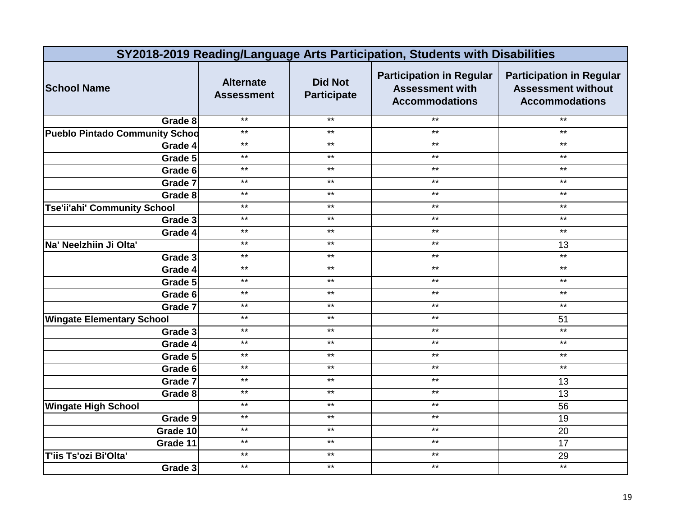| SY2018-2019 Reading/Language Arts Participation, Students with Disabilities |                                       |                                      |                                                                                    |                                                                                       |
|-----------------------------------------------------------------------------|---------------------------------------|--------------------------------------|------------------------------------------------------------------------------------|---------------------------------------------------------------------------------------|
| <b>School Name</b>                                                          | <b>Alternate</b><br><b>Assessment</b> | <b>Did Not</b><br><b>Participate</b> | <b>Participation in Regular</b><br><b>Assessment with</b><br><b>Accommodations</b> | <b>Participation in Regular</b><br><b>Assessment without</b><br><b>Accommodations</b> |
| Grade 8                                                                     | $***$                                 | $***$                                | $***$                                                                              | $***$                                                                                 |
| <b>Pueblo Pintado Community Schod</b>                                       | $***$                                 | $***$                                | $***$                                                                              | $***$                                                                                 |
| Grade 4                                                                     | $***$                                 | $***$                                | $***$                                                                              | $\star\star$                                                                          |
| Grade 5                                                                     | $***$                                 | $***$                                | $***$                                                                              | $***$                                                                                 |
| Grade 6                                                                     | $***$                                 | $\star\star$                         | $***$                                                                              | $***$                                                                                 |
| Grade 7                                                                     | $***$                                 | $***$                                | $***$                                                                              | $\star\star$                                                                          |
| Grade 8                                                                     | $***$                                 | $***$                                | $\star\star$                                                                       | $\star\star$                                                                          |
| <b>Tse'ii'ahi' Community School</b>                                         | $***$                                 | $***$                                | $***$                                                                              | $***$                                                                                 |
| Grade 3                                                                     | $***$                                 | $***$                                | $***$                                                                              | $***$                                                                                 |
| Grade 4                                                                     | $\star\star$                          | $***$                                | $***$                                                                              | $***$                                                                                 |
| Na' Neelzhiin Ji Olta'                                                      | $**$                                  | $***$                                | $***$                                                                              | 13                                                                                    |
| Grade 3                                                                     | $***$                                 | $***$                                | $***$                                                                              | $*$                                                                                   |
| Grade 4                                                                     | $***$                                 | $***$                                | $***$                                                                              | $\star\star$                                                                          |
| Grade 5                                                                     | $***$                                 | $***$                                | $***$                                                                              | $\star\star$                                                                          |
| Grade 6                                                                     | $***$                                 | $***$                                | $***$                                                                              | $***$                                                                                 |
| Grade 7                                                                     | $***$                                 | $***$                                | $***$                                                                              | $***$                                                                                 |
| <b>Wingate Elementary School</b>                                            | $***$                                 | $***$                                | $***$                                                                              | 51                                                                                    |
| Grade 3                                                                     | $**$                                  | $***$                                | $***$                                                                              | $*$                                                                                   |
| Grade 4                                                                     | $***$                                 | $***$                                | $***$                                                                              | $\star\star$                                                                          |
| Grade 5                                                                     | $***$                                 | $***$                                | $***$                                                                              | $***$                                                                                 |
| Grade 6                                                                     | $***$                                 | $***$                                | $***$                                                                              | $***$                                                                                 |
| Grade 7                                                                     | $***$                                 | $***$                                | $***$                                                                              | 13                                                                                    |
| Grade 8                                                                     | $***$                                 | $***$                                | $***$                                                                              | 13                                                                                    |
| <b>Wingate High School</b>                                                  | $*$                                   | $***$                                | $***$                                                                              | $\overline{56}$                                                                       |
| Grade 9                                                                     | $***$                                 | $***$                                | $***$                                                                              | 19                                                                                    |
| Grade 10                                                                    | $***$                                 | $***$                                | $***$                                                                              | 20                                                                                    |
| Grade 11                                                                    | $***$                                 | $***$                                | $***$                                                                              | 17                                                                                    |
| T'iis Ts'ozi Bi'Olta'                                                       | $***$                                 | $***$                                | $***$                                                                              | 29                                                                                    |
| Grade 3                                                                     | $***$                                 | $***$                                | $***$                                                                              | $\star\star$                                                                          |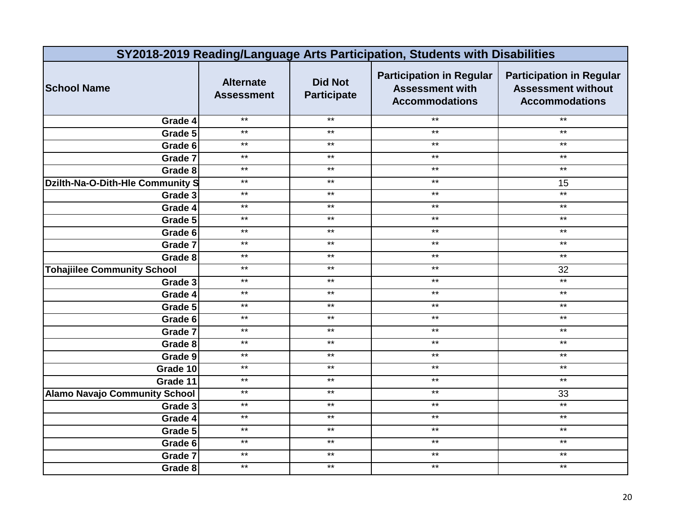|                                      | SY2018-2019 Reading/Language Arts Participation, Students with Disabilities |                                      |                                                                                    |                                                                                       |  |
|--------------------------------------|-----------------------------------------------------------------------------|--------------------------------------|------------------------------------------------------------------------------------|---------------------------------------------------------------------------------------|--|
| <b>School Name</b>                   | <b>Alternate</b><br><b>Assessment</b>                                       | <b>Did Not</b><br><b>Participate</b> | <b>Participation in Regular</b><br><b>Assessment with</b><br><b>Accommodations</b> | <b>Participation in Regular</b><br><b>Assessment without</b><br><b>Accommodations</b> |  |
| Grade 4                              | $***$                                                                       | $***$                                | $***$                                                                              | $***$                                                                                 |  |
| Grade 5                              | $***$                                                                       | $***$                                | $***$                                                                              | $***$                                                                                 |  |
| Grade 6                              | $***$                                                                       | $***$                                | $***$                                                                              | $***$                                                                                 |  |
| Grade 7                              | $***$                                                                       | $***$                                | $***$                                                                              | $\star\star$                                                                          |  |
| Grade 8                              | $\star\star$                                                                | $***$                                | $***$                                                                              | $\star\star$                                                                          |  |
| Dzilth-Na-O-Dith-Hle Community S     | $***$                                                                       | $***$                                | $***$                                                                              | 15                                                                                    |  |
| Grade 3                              | $***$                                                                       | $\star\star$                         | $***$                                                                              | $***$                                                                                 |  |
| Grade 4                              | $***$                                                                       | $***$                                | $***$                                                                              | $***$                                                                                 |  |
| Grade 5                              | $\star\star$                                                                | $\star\star$                         | $***$                                                                              | $\star\star$                                                                          |  |
| Grade 6                              | $*$                                                                         | $\star\star$                         | $***$                                                                              | $***$                                                                                 |  |
| Grade 7                              | $**$                                                                        | $***$                                | $***$                                                                              | $***$                                                                                 |  |
| Grade 8                              | $***$                                                                       | $\star\star$                         | $\star\star$                                                                       | $\star\star$                                                                          |  |
| <b>Tohajiilee Community School</b>   | $***$                                                                       | $***$                                | $***$                                                                              | 32                                                                                    |  |
| Grade 3                              | $***$                                                                       | $***$                                | $***$                                                                              | $***$                                                                                 |  |
| Grade 4                              | $***$                                                                       | $***$                                | $***$                                                                              | $***$                                                                                 |  |
| Grade 5                              | $***$                                                                       | $***$                                | $***$                                                                              | $\star\star$                                                                          |  |
| Grade 6                              | $***$                                                                       | $***$                                | $***$                                                                              | $\star\star$                                                                          |  |
| Grade 7                              | $\star\star$                                                                | $***$                                | $***$                                                                              | $***$                                                                                 |  |
| Grade 8                              | $***$                                                                       | $\star\star$                         | $\star\star$                                                                       | $\star\star$                                                                          |  |
| Grade 9                              | $*$                                                                         | $\star\star$                         | $***$                                                                              | $\star\star$                                                                          |  |
| Grade 10                             | $***$                                                                       | $***$                                | $***$                                                                              | $\star\star$                                                                          |  |
| Grade 11                             | $***$                                                                       | $\star\star$                         | $***$                                                                              | $***$                                                                                 |  |
| <b>Alamo Navajo Community School</b> | $***$                                                                       | $***$                                | $***$                                                                              | 33                                                                                    |  |
| Grade 3                              | $***$                                                                       | $***$                                | $***$                                                                              | $***$                                                                                 |  |
| Grade 4                              | $\star\star$                                                                | $\star\star$                         | $\star\star$                                                                       | $\star\star$                                                                          |  |
| Grade 5                              | $***$                                                                       | $***$                                | $***$                                                                              | $\star\star$                                                                          |  |
| Grade 6                              | $***$                                                                       | $***$                                | $***$                                                                              | $\star\star$                                                                          |  |
| Grade 7                              | $***$                                                                       | $***$                                | $***$                                                                              | $***$                                                                                 |  |
| Grade 8                              | $***$                                                                       | $***$                                | $***$                                                                              | $\star\star$                                                                          |  |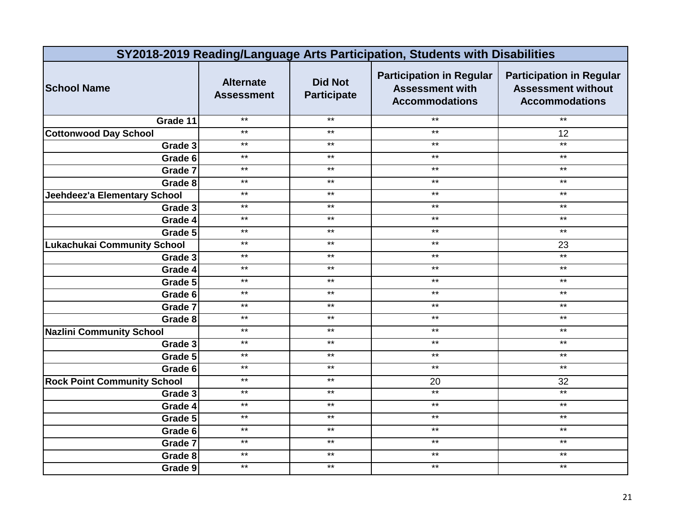|                                    | SY2018-2019 Reading/Language Arts Participation, Students with Disabilities |                                      |                                                                                    |                                                                                       |  |
|------------------------------------|-----------------------------------------------------------------------------|--------------------------------------|------------------------------------------------------------------------------------|---------------------------------------------------------------------------------------|--|
| <b>School Name</b>                 | <b>Alternate</b><br><b>Assessment</b>                                       | <b>Did Not</b><br><b>Participate</b> | <b>Participation in Regular</b><br><b>Assessment with</b><br><b>Accommodations</b> | <b>Participation in Regular</b><br><b>Assessment without</b><br><b>Accommodations</b> |  |
| Grade 11                           | $***$                                                                       | $***$                                | $***$                                                                              | $\star\star$                                                                          |  |
| <b>Cottonwood Day School</b>       | $***$                                                                       | $***$                                | $***$                                                                              | 12                                                                                    |  |
| Grade 3                            | $***$                                                                       | $***$                                | $***$                                                                              | $***$                                                                                 |  |
| Grade 6                            | $***$                                                                       | $***$                                | $***$                                                                              | $***$                                                                                 |  |
| Grade 7                            | $***$                                                                       | $***$                                | $***$                                                                              | $\star\star$                                                                          |  |
| Grade 8                            | $***$                                                                       | $***$                                | $***$                                                                              | $\star\star$                                                                          |  |
| Jeehdeez'a Elementary School       | $***$                                                                       | $***$                                | $***$                                                                              | $***$                                                                                 |  |
| Grade 3                            | $***$                                                                       | $***$                                | $***$                                                                              | $***$                                                                                 |  |
| Grade 4                            | $***$                                                                       | $***$                                | $***$                                                                              | $***$                                                                                 |  |
| Grade 5                            | $***$                                                                       | $***$                                | $***$                                                                              | $***$                                                                                 |  |
| <b>Lukachukai Community School</b> | $***$                                                                       | $***$                                | $***$                                                                              | 23                                                                                    |  |
| Grade 3                            | $\star\star$                                                                | $***$                                | $***$                                                                              | $***$                                                                                 |  |
| Grade 4                            | $***$                                                                       | $***$                                | $***$                                                                              | $***$                                                                                 |  |
| Grade 5                            | $***$                                                                       | $***$                                | $***$                                                                              | $***$                                                                                 |  |
| Grade 6                            | $***$                                                                       | $***$                                | $***$                                                                              | $***$                                                                                 |  |
| Grade 7                            | $***$                                                                       | $***$                                | $***$                                                                              | $***$                                                                                 |  |
| Grade 8                            | $***$                                                                       | $***$                                | $***$                                                                              | $***$                                                                                 |  |
| <b>Nazlini Community School</b>    | $***$                                                                       | $***$                                | $***$                                                                              | $\star\star$                                                                          |  |
| Grade 3                            | $***$                                                                       | $***$                                | $***$                                                                              | $***$                                                                                 |  |
| Grade 5                            | $***$                                                                       | $***$                                | $***$                                                                              | $***$                                                                                 |  |
| Grade 6                            | $***$                                                                       | $***$                                | $***$                                                                              | $***$                                                                                 |  |
| <b>Rock Point Community School</b> | $\star\star$                                                                | $***$                                | 20                                                                                 | 32                                                                                    |  |
| Grade 3                            | $***$                                                                       | $***$                                | $*$                                                                                | $***$                                                                                 |  |
| Grade 4                            | $***$                                                                       | $***$                                | $***$                                                                              | $\star\star$                                                                          |  |
| Grade 5                            | $\star\star$                                                                | $***$                                | $***$                                                                              | $***$                                                                                 |  |
| Grade 6                            | $***$                                                                       | $***$                                | $***$                                                                              | $\star\star$                                                                          |  |
| Grade 7                            | $***$                                                                       | $***$                                | $***$                                                                              | $***$                                                                                 |  |
| Grade 8                            | $***$                                                                       | $***$                                | $***$                                                                              | $***$                                                                                 |  |
| Grade 9                            | $***$                                                                       | $***$                                | $***$                                                                              | $\star\star$                                                                          |  |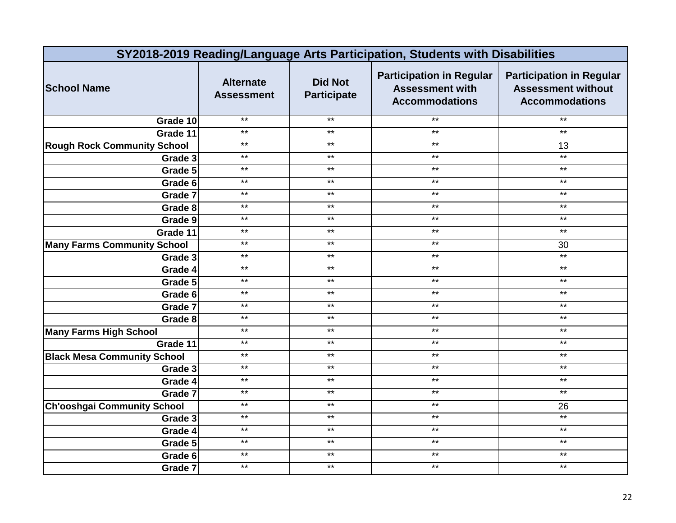|                                    | SY2018-2019 Reading/Language Arts Participation, Students with Disabilities |                                      |                                                                                    |                                                                                       |  |
|------------------------------------|-----------------------------------------------------------------------------|--------------------------------------|------------------------------------------------------------------------------------|---------------------------------------------------------------------------------------|--|
| <b>School Name</b>                 | <b>Alternate</b><br><b>Assessment</b>                                       | <b>Did Not</b><br><b>Participate</b> | <b>Participation in Regular</b><br><b>Assessment with</b><br><b>Accommodations</b> | <b>Participation in Regular</b><br><b>Assessment without</b><br><b>Accommodations</b> |  |
| Grade 10                           | $***$                                                                       | $***$                                | $***$                                                                              | $***$                                                                                 |  |
| Grade 11                           | $***$                                                                       | $***$                                | $***$                                                                              | $***$                                                                                 |  |
| <b>Rough Rock Community School</b> | $***$                                                                       | $***$                                | $***$                                                                              | 13                                                                                    |  |
| Grade 3                            | $***$                                                                       | $\star\star$                         | $***$                                                                              | $\star\star$                                                                          |  |
| Grade 5                            | $***$                                                                       | $\star\star$                         | $***$                                                                              | $\star\star$                                                                          |  |
| Grade 6                            | $***$                                                                       | $***$                                | $***$                                                                              | $\star\star$                                                                          |  |
| Grade 7                            | $***$                                                                       | $\star\star$                         | $\star\star$                                                                       | $\star\star$                                                                          |  |
| Grade 8                            | $***$                                                                       | $***$                                | $***$                                                                              | $\star\star$                                                                          |  |
| Grade 9                            | $***$                                                                       | $***$                                | $***$                                                                              | $***$                                                                                 |  |
| Grade 11                           | $***$                                                                       | $\star\star$                         | $\star\star$                                                                       | $***$                                                                                 |  |
| <b>Many Farms Community School</b> | $**$                                                                        | $***$                                | $***$                                                                              | 30                                                                                    |  |
| Grade 3                            | $***$                                                                       | $***$                                | $***$                                                                              | $*$                                                                                   |  |
| Grade 4                            | $***$                                                                       | $\star\star$                         | $***$                                                                              | $\star\star$                                                                          |  |
| Grade 5                            | $***$                                                                       | $***$                                | $***$                                                                              | $\star\star$                                                                          |  |
| Grade 6                            | $***$                                                                       | $***$                                | $***$                                                                              | $***$                                                                                 |  |
| Grade 7                            | $***$                                                                       | $***$                                | $***$                                                                              | $***$                                                                                 |  |
| Grade 8                            | $***$                                                                       | $***$                                | $***$                                                                              | $***$                                                                                 |  |
| <b>Many Farms High School</b>      | $**$                                                                        | $***$                                | $***$                                                                              | $\star\star$                                                                          |  |
| Grade 11                           | $***$                                                                       | $***$                                | $***$                                                                              | $\star\star$                                                                          |  |
| <b>Black Mesa Community School</b> | $***$                                                                       | $***$                                | $***$                                                                              | $***$                                                                                 |  |
| Grade 3                            | $***$                                                                       | $***$                                | $***$                                                                              | $***$                                                                                 |  |
| Grade 4                            | $***$                                                                       | $***$                                | $***$                                                                              | $***$                                                                                 |  |
| Grade 7                            | $***$                                                                       | $***$                                | $***$                                                                              | $***$                                                                                 |  |
| <b>Ch'ooshgai Community School</b> | $*$                                                                         | $***$                                | $***$                                                                              | 26                                                                                    |  |
| Grade $3$                          | $***$                                                                       | $***$                                | $***$                                                                              | $***$                                                                                 |  |
| Grade 4                            | $***$                                                                       | $***$                                | $***$                                                                              | $\star\star$                                                                          |  |
| Grade 5                            | $***$                                                                       | $***$                                | $***$                                                                              | $***$                                                                                 |  |
| Grade 6                            | $***$                                                                       | $***$                                | $***$                                                                              | $***$                                                                                 |  |
| Grade 7                            | $***$                                                                       | $***$                                | $***$                                                                              | $\star\star$                                                                          |  |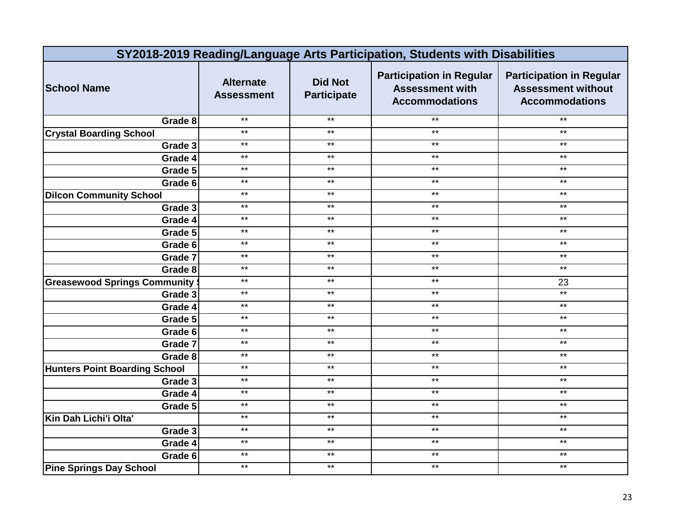|                                      | SY2018-2019 Reading/Language Arts Participation, Students with Disabilities |                                      |                                                                                    |                                                                                       |  |
|--------------------------------------|-----------------------------------------------------------------------------|--------------------------------------|------------------------------------------------------------------------------------|---------------------------------------------------------------------------------------|--|
| <b>School Name</b>                   | <b>Alternate</b><br><b>Assessment</b>                                       | <b>Did Not</b><br><b>Participate</b> | <b>Participation in Regular</b><br><b>Assessment with</b><br><b>Accommodations</b> | <b>Participation in Regular</b><br><b>Assessment without</b><br><b>Accommodations</b> |  |
| Grade 8                              | $***$                                                                       | $***$                                | $***$                                                                              | $\star\star$                                                                          |  |
| <b>Crystal Boarding School</b>       | $***$                                                                       | $***$                                | $***$                                                                              | $***$                                                                                 |  |
| Grade 3                              | $***$                                                                       | $***$                                | $***$                                                                              | $\star\star$                                                                          |  |
| Grade 4                              | $***$                                                                       | $***$                                | $***$                                                                              | $***$                                                                                 |  |
| Grade 5                              | $***$                                                                       | $\star\star$                         | $***$                                                                              | $***$                                                                                 |  |
| Grade 6                              | $***$                                                                       | $***$                                | $***$                                                                              | $\star\star$                                                                          |  |
| <b>Dilcon Community School</b>       | $***$                                                                       | $\star\star$                         | $\star\star$                                                                       | $\star\star$                                                                          |  |
| Grade 3                              | $***$                                                                       | $***$                                | $***$                                                                              | $***$                                                                                 |  |
| Grade 4                              | $\star\star$                                                                | $\star\star$                         | $***$                                                                              | $***$                                                                                 |  |
| Grade 5                              | $***$                                                                       | $\star\star$                         | $***$                                                                              | $***$                                                                                 |  |
| Grade 6                              | $***$                                                                       | $***$                                | $***$                                                                              | $\star\star$                                                                          |  |
| Grade 7                              | $\star\star$                                                                | $***$                                | $***$                                                                              | $***$                                                                                 |  |
| Grade 8                              | $***$                                                                       | $***$                                | $***$                                                                              | $***$                                                                                 |  |
| <b>Greasewood Springs Community</b>  | $***$                                                                       | $***$                                | $***$                                                                              | 23                                                                                    |  |
| Grade 3                              | $***$                                                                       | $***$                                | $***$                                                                              | $***$                                                                                 |  |
| Grade 4                              | $***$                                                                       | $***$                                | $***$                                                                              | $***$                                                                                 |  |
| Grade 5                              | $***$                                                                       | $***$                                | $***$                                                                              | $***$                                                                                 |  |
| Grade 6                              | $***$                                                                       | $***$                                | $***$                                                                              | $\star\star$                                                                          |  |
| Grade 7                              | $*$                                                                         | $***$                                | $***$                                                                              | $***$                                                                                 |  |
| Grade 8                              | $***$                                                                       | $***$                                | $***$                                                                              | $\star\star$                                                                          |  |
| <b>Hunters Point Boarding School</b> | $***$                                                                       | $***$                                | $***$                                                                              | $\star\star$                                                                          |  |
| Grade 3                              | $***$                                                                       | $***$                                | $***$                                                                              | $***$                                                                                 |  |
| Grade 4                              | $***$                                                                       | $***$                                | $***$                                                                              | $***$                                                                                 |  |
| Grade 5                              | $***$                                                                       | $***$                                | $***$                                                                              | $***$                                                                                 |  |
| Kin Dah Lichi'i Olta'                | $*$                                                                         | $***$                                | $***$                                                                              | $\star\star$                                                                          |  |
| Grade 3                              | $***$                                                                       | $***$                                | $***$                                                                              | $***$                                                                                 |  |
| Grade 4                              | $\star\star$                                                                | $\star\star$                         | $***$                                                                              | $***$                                                                                 |  |
| Grade 6                              | $***$                                                                       | $***$                                | $***$                                                                              | $***$                                                                                 |  |
| <b>Pine Springs Day School</b>       | $\star\star$                                                                | $***$                                | $***$                                                                              | $***$                                                                                 |  |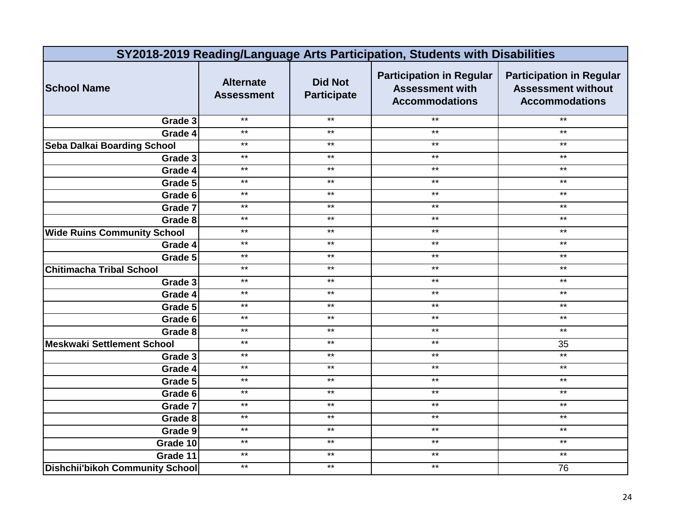|                                        | SY2018-2019 Reading/Language Arts Participation, Students with Disabilities |                                      |                                                                                    |                                                                                       |  |
|----------------------------------------|-----------------------------------------------------------------------------|--------------------------------------|------------------------------------------------------------------------------------|---------------------------------------------------------------------------------------|--|
| <b>School Name</b>                     | <b>Alternate</b><br><b>Assessment</b>                                       | <b>Did Not</b><br><b>Participate</b> | <b>Participation in Regular</b><br><b>Assessment with</b><br><b>Accommodations</b> | <b>Participation in Regular</b><br><b>Assessment without</b><br><b>Accommodations</b> |  |
| Grade 3                                | $***$                                                                       | $***$                                | $***$                                                                              | $\star\star$                                                                          |  |
| Grade 4                                | $***$                                                                       | $***$                                | $***$                                                                              | $***$                                                                                 |  |
| Seba Dalkai Boarding School            | $***$                                                                       | $***$                                | $***$                                                                              | $\star\star$                                                                          |  |
| Grade 3                                | $***$                                                                       | $***$                                | $***$                                                                              | $\star\star$                                                                          |  |
| Grade 4                                | $***$                                                                       | $***$                                | $***$                                                                              | $\star\star$                                                                          |  |
| Grade 5                                | $***$                                                                       | $***$                                | $\star\star$                                                                       | $\star\star$                                                                          |  |
| Grade 6                                | $***$                                                                       | $\star\star$                         | $\star\star$                                                                       | $\star\star$                                                                          |  |
| Grade 7                                | $***$                                                                       | $***$                                | $***$                                                                              | $***$                                                                                 |  |
| Grade 8                                | $\star\star$                                                                | $\star\star$                         | $\star\star$                                                                       | $***$                                                                                 |  |
| <b>Wide Ruins Community School</b>     | $***$                                                                       | $***$                                | $***$                                                                              | $***$                                                                                 |  |
| Grade $\overline{4}$                   | $**$                                                                        | $***$                                | $***$                                                                              | $\star\star$                                                                          |  |
| Grade 5                                | $\star\star$                                                                | $***$                                | $***$                                                                              | $***$                                                                                 |  |
| <b>Chitimacha Tribal School</b>        | $***$                                                                       | $***$                                | $***$                                                                              | $***$                                                                                 |  |
| Grade 3                                | $***$                                                                       | $***$                                | $***$                                                                              | $\star\star$                                                                          |  |
| Grade 4                                | $***$                                                                       | $***$                                | $***$                                                                              | $\star\star$                                                                          |  |
| Grade 5                                | $***$                                                                       | $\star\star$                         | $***$                                                                              | $***$                                                                                 |  |
| Grade 6                                | $***$                                                                       | $***$                                | $***$                                                                              | $***$                                                                                 |  |
| Grade 8                                | $***$                                                                       | $***$                                | $***$                                                                              | $***$                                                                                 |  |
| <b>Meskwaki Settlement School</b>      | $***$                                                                       | $***$                                | $***$                                                                              | 35                                                                                    |  |
| Grade 3                                | $***$                                                                       | $***$                                | $***$                                                                              | $***$                                                                                 |  |
| Grade 4                                | $***$                                                                       | $\star\star$                         | $***$                                                                              | $\star\star$                                                                          |  |
| Grade 5                                | $***$                                                                       | $***$                                | $***$                                                                              | $***$                                                                                 |  |
| Grade 6                                | $***$                                                                       | $***$                                | $***$                                                                              | $\star\star$                                                                          |  |
| Grade 7                                | $***$                                                                       | $***$                                | $***$                                                                              | $***$                                                                                 |  |
| Grade 8                                | $*$                                                                         | $***$                                | $***$                                                                              | $\star\star$                                                                          |  |
| Grade 9                                | $***$                                                                       | $***$                                | $***$                                                                              | $\star\star$                                                                          |  |
| Grade 10                               | $\star\star$                                                                | $\star\star$                         | $\star\star$                                                                       | $\star\star$                                                                          |  |
| Grade 11                               | $***$                                                                       | $***$                                | $***$                                                                              | $***$                                                                                 |  |
| <b>Dishchii'bikoh Community School</b> | $\star\star$                                                                | $***$                                | $\star\star$                                                                       | 76                                                                                    |  |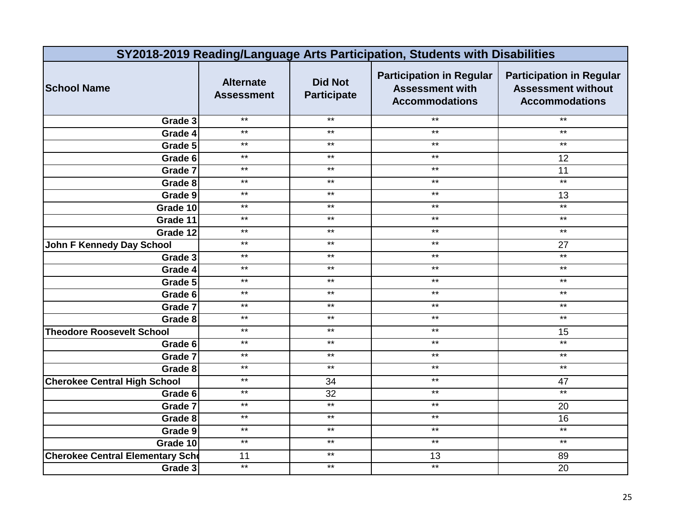| SY2018-2019 Reading/Language Arts Participation, Students with Disabilities |                                       |                                      |                                                                                    |                                                                                       |
|-----------------------------------------------------------------------------|---------------------------------------|--------------------------------------|------------------------------------------------------------------------------------|---------------------------------------------------------------------------------------|
| <b>School Name</b>                                                          | <b>Alternate</b><br><b>Assessment</b> | <b>Did Not</b><br><b>Participate</b> | <b>Participation in Regular</b><br><b>Assessment with</b><br><b>Accommodations</b> | <b>Participation in Regular</b><br><b>Assessment without</b><br><b>Accommodations</b> |
| Grade 3                                                                     | $***$                                 | $***$                                | $***$                                                                              | $\star\star$                                                                          |
| Grade 4                                                                     | $***$                                 | $***$                                | $***$                                                                              | $***$                                                                                 |
| Grade 5                                                                     | $***$                                 | $***$                                | $***$                                                                              | $\star\star$                                                                          |
| Grade 6                                                                     | $***$                                 | $***$                                | $***$                                                                              | 12                                                                                    |
| Grade 7                                                                     | $***$                                 | $***$                                | $***$                                                                              | 11                                                                                    |
| Grade 8                                                                     | $***$                                 | $\star\star$                         | $***$                                                                              | $***$                                                                                 |
| Grade 9                                                                     | $***$                                 | $***$                                | $***$                                                                              | 13                                                                                    |
| Grade 10                                                                    | $***$                                 | $***$                                | $***$                                                                              | $***$                                                                                 |
| Grade 11                                                                    | $***$                                 | $\star\star$                         | $***$                                                                              | $***$                                                                                 |
| Grade 12                                                                    | $***$                                 | $***$                                | $***$                                                                              | $***$                                                                                 |
| <b>John F Kennedy Day School</b>                                            | $**$                                  | $\star\star$                         | $*$                                                                                | $\overline{27}$                                                                       |
| Grade 3                                                                     | $***$                                 | $***$                                | $***$                                                                              | $*$                                                                                   |
| Grade 4                                                                     | $***$                                 | $***$                                | $***$                                                                              | $\star\star$                                                                          |
| Grade 5                                                                     | $***$                                 | $***$                                | $***$                                                                              | $\star\star$                                                                          |
| Grade 6                                                                     | $***$                                 | $***$                                | $***$                                                                              | $***$                                                                                 |
| Grade 7                                                                     | $***$                                 | $\star\star$                         | $***$                                                                              | $***$                                                                                 |
| Grade 8                                                                     | $***$                                 | $***$                                | $***$                                                                              | $***$                                                                                 |
| <b>Theodore Roosevelt School</b>                                            | $***$                                 | $***$                                | $***$                                                                              | 15                                                                                    |
| Grade 6                                                                     | $\star\star$                          | $***$                                | $***$                                                                              | $\star\star$                                                                          |
| Grade 7                                                                     | $***$                                 | $***$                                | $***$                                                                              | $***$                                                                                 |
| Grade 8                                                                     | $***$                                 | $\star\star$                         | $\star\star$                                                                       | $\star\star$                                                                          |
| <b>Cherokee Central High School</b>                                         | $***$                                 | 34                                   | $***$                                                                              | 47                                                                                    |
| Grade 6                                                                     | $***$                                 | 32                                   | $***$                                                                              | $*$                                                                                   |
| Grade 7                                                                     | $***$                                 | $***$                                | $***$                                                                              | 20                                                                                    |
| Grade 8                                                                     | $***$                                 | $***$                                | $***$                                                                              | 16                                                                                    |
| Grade 9                                                                     | $***$                                 | $***$                                | $***$                                                                              | $***$                                                                                 |
| Grade 10                                                                    | $***$                                 | $***$                                | $***$                                                                              | $***$                                                                                 |
| <b>Cherokee Central Elementary Scho</b>                                     | 11                                    | $***$                                | 13                                                                                 | 89                                                                                    |
| Grade 3                                                                     | $***$                                 | $***$                                | $***$                                                                              | 20                                                                                    |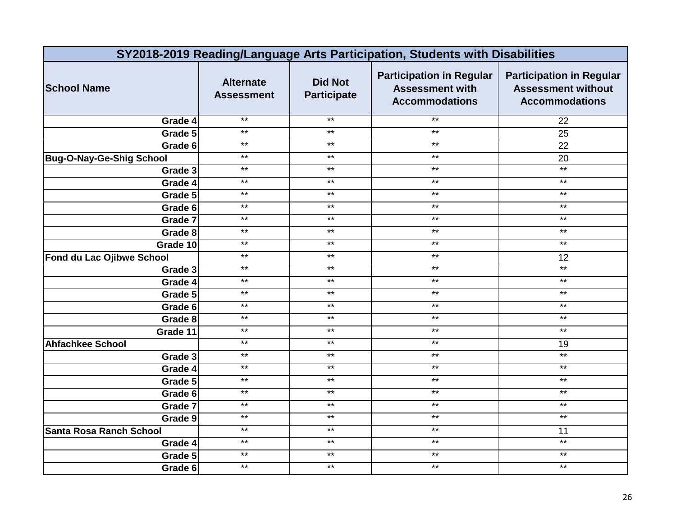| SY2018-2019 Reading/Language Arts Participation, Students with Disabilities |                                       |                                      |                                                                                    |                                                                                       |  |
|-----------------------------------------------------------------------------|---------------------------------------|--------------------------------------|------------------------------------------------------------------------------------|---------------------------------------------------------------------------------------|--|
| <b>School Name</b>                                                          | <b>Alternate</b><br><b>Assessment</b> | <b>Did Not</b><br><b>Participate</b> | <b>Participation in Regular</b><br><b>Assessment with</b><br><b>Accommodations</b> | <b>Participation in Regular</b><br><b>Assessment without</b><br><b>Accommodations</b> |  |
| Grade 4                                                                     | $**$                                  | $*$                                  | $**$                                                                               | 22                                                                                    |  |
| Grade 5                                                                     | $***$                                 | $***$                                | $***$                                                                              | 25                                                                                    |  |
| Grade 6                                                                     | $***$                                 | $***$                                | $***$                                                                              | 22                                                                                    |  |
| <b>Bug-O-Nay-Ge-Shig School</b>                                             | $***$                                 | $\star\star$                         | $***$                                                                              | 20                                                                                    |  |
| Grade 3                                                                     | $***$                                 | $***$                                | $***$                                                                              | $***$                                                                                 |  |
| Grade 4                                                                     | $***$                                 | $***$                                | $***$                                                                              | $\star\star$                                                                          |  |
| Grade 5                                                                     | $***$                                 | $\star\star$                         | $***$                                                                              | $***$                                                                                 |  |
| Grade 6                                                                     | $***$                                 | $\star\star$                         | $***$                                                                              | $\star\star$                                                                          |  |
| Grade 7                                                                     | $***$                                 | $***$                                | $***$                                                                              | $***$                                                                                 |  |
| Grade 8                                                                     | $***$                                 | $***$                                | $***$                                                                              | $\star\star$                                                                          |  |
| Grade 10                                                                    | $**$                                  | $**$                                 | $**$                                                                               | $**$                                                                                  |  |
| Fond du Lac Ojibwe School                                                   | $***$                                 | $***$                                | $***$                                                                              | 12                                                                                    |  |
| Grade 3                                                                     | $***$                                 | $\star\star$                         | $***$                                                                              | $\star\star$                                                                          |  |
| Grade 4                                                                     | $***$                                 | $***$                                | $***$                                                                              | $***$                                                                                 |  |
| Grade 5                                                                     | $***$                                 | $***$                                | $***$                                                                              | $***$                                                                                 |  |
| Grade 6                                                                     | $***$                                 | $\star\star$                         | $***$                                                                              | $***$                                                                                 |  |
| Grade 8                                                                     | $***$                                 | $***$                                | $***$                                                                              | $\star\star$                                                                          |  |
| Grade 11                                                                    | $***$                                 | $***$                                | $***$                                                                              | $\star\star$                                                                          |  |
| <b>Ahfachkee School</b>                                                     | $***$                                 | $***$                                | $***$                                                                              | 19                                                                                    |  |
| Grade 3                                                                     | $***$                                 | $***$                                | $***$                                                                              | $***$                                                                                 |  |
| Grade 4                                                                     | $***$                                 | $\star\star$                         | $***$                                                                              | $\star\star$                                                                          |  |
| Grade 5                                                                     | $***$                                 | $***$                                | $***$                                                                              | $***$                                                                                 |  |
| Grade 6                                                                     | $***$                                 | $\star\star$                         | $***$                                                                              | $***$                                                                                 |  |
| Grade 7                                                                     | $***$                                 | $\star\star$                         | $***$                                                                              | $***$                                                                                 |  |
| Grade 9                                                                     | $***$                                 | $***$                                | $***$                                                                              | $***$                                                                                 |  |
| <b>Santa Rosa Ranch School</b>                                              | $***$                                 | $***$                                | $***$                                                                              | 11                                                                                    |  |
| Grade 4                                                                     | $***$                                 | $***$                                | $***$                                                                              | $***$                                                                                 |  |
| Grade 5                                                                     | $***$                                 | $\star\star$                         | $***$                                                                              | $\star\star$                                                                          |  |
| Grade 6                                                                     | $***$                                 | $***$                                | $***$                                                                              | $***$                                                                                 |  |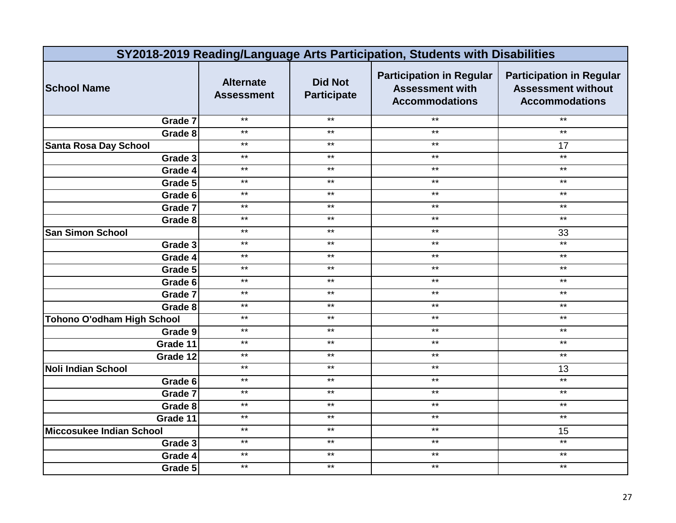| SY2018-2019 Reading/Language Arts Participation, Students with Disabilities |                                       |                                      |                                                                                    |                                                                                       |
|-----------------------------------------------------------------------------|---------------------------------------|--------------------------------------|------------------------------------------------------------------------------------|---------------------------------------------------------------------------------------|
| <b>School Name</b>                                                          | <b>Alternate</b><br><b>Assessment</b> | <b>Did Not</b><br><b>Participate</b> | <b>Participation in Regular</b><br><b>Assessment with</b><br><b>Accommodations</b> | <b>Participation in Regular</b><br><b>Assessment without</b><br><b>Accommodations</b> |
| Grade 7                                                                     | $***$                                 | $***$                                | $***$                                                                              | $\star\star$                                                                          |
| Grade 8                                                                     | $***$                                 | $***$                                | $***$                                                                              | $***$                                                                                 |
| <b>Santa Rosa Day School</b>                                                | $***$                                 | $***$                                | $***$                                                                              | 17                                                                                    |
| Grade 3                                                                     | $***$                                 | $***$                                | $***$                                                                              | $*$                                                                                   |
| Grade 4                                                                     | $***$                                 | $***$                                | $***$                                                                              | $\star\star$                                                                          |
| Grade 5                                                                     | $***$                                 | $\star\star$                         | $***$                                                                              | $\star\star$                                                                          |
| Grade 6                                                                     | $***$                                 | $***$                                | $***$                                                                              | $***$                                                                                 |
| Grade 7                                                                     | $***$                                 | $***$                                | $***$                                                                              | $***$                                                                                 |
| Grade 8                                                                     | $***$                                 | $\star\star$                         | $***$                                                                              | $***$                                                                                 |
| <b>San Simon School</b>                                                     | $***$                                 | $***$                                | $***$                                                                              | 33                                                                                    |
| Grade 3                                                                     | $**$                                  | $\star\star$                         | $*$                                                                                | $***$                                                                                 |
| Grade 4                                                                     | $***$                                 | $***$                                | $\star\star$                                                                       | $\star\star$                                                                          |
| Grade 5                                                                     | $***$                                 | $***$                                | $***$                                                                              | $\star\star$                                                                          |
| Grade 6                                                                     | $***$                                 | $***$                                | $***$                                                                              | $\star\star$                                                                          |
| Grade 7                                                                     | $***$                                 | $***$                                | $***$                                                                              | $***$                                                                                 |
| Grade 8                                                                     | $\star\star$                          | $\star\star$                         | $\star\star$                                                                       | $***$                                                                                 |
| <b>Tohono O'odham High School</b>                                           | $***$                                 | $***$                                | $***$                                                                              | $***$                                                                                 |
| Grade 9                                                                     | $***$                                 | $***$                                | $***$                                                                              | $***$                                                                                 |
| Grade 11                                                                    | $\star\star$                          | $***$                                | $***$                                                                              | $***$                                                                                 |
| Grade 12                                                                    | $***$                                 | $***$                                | $***$                                                                              | $***$                                                                                 |
| <b>Noli Indian School</b>                                                   | $***$                                 | $\star\star$                         | $\star\star$                                                                       | 13                                                                                    |
| Grade 6                                                                     | $***$                                 | $***$                                | $***$                                                                              | $***$                                                                                 |
| Grade 7                                                                     | $***$                                 | $***$                                | $***$                                                                              | $***$                                                                                 |
| Grade 8                                                                     | $***$                                 | $\star\star$                         | $\star\star$                                                                       | $***$                                                                                 |
| Grade 11                                                                    | $***$                                 | $***$                                | $***$                                                                              | $***$                                                                                 |
| <b>Miccosukee Indian School</b>                                             | $***$                                 | $***$                                | $***$                                                                              | 15                                                                                    |
| Grade 3                                                                     | $***$                                 | $***$                                | $***$                                                                              | $***$                                                                                 |
| Grade 4                                                                     | $***$                                 | $***$                                | $***$                                                                              | $***$                                                                                 |
| Grade 5                                                                     | $***$                                 | $***$                                | $***$                                                                              | $***$                                                                                 |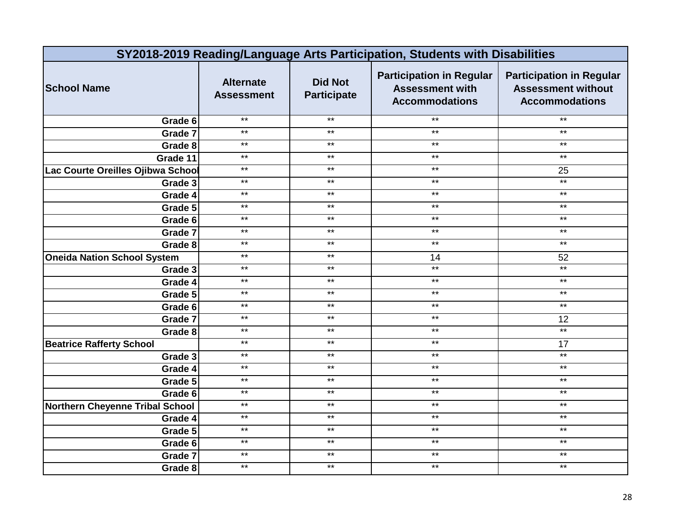| SY2018-2019 Reading/Language Arts Participation, Students with Disabilities |                                       |                                      |                                                                                    |                                                                                       |  |
|-----------------------------------------------------------------------------|---------------------------------------|--------------------------------------|------------------------------------------------------------------------------------|---------------------------------------------------------------------------------------|--|
| <b>School Name</b>                                                          | <b>Alternate</b><br><b>Assessment</b> | <b>Did Not</b><br><b>Participate</b> | <b>Participation in Regular</b><br><b>Assessment with</b><br><b>Accommodations</b> | <b>Participation in Regular</b><br><b>Assessment without</b><br><b>Accommodations</b> |  |
| Grade 6                                                                     | $***$                                 | $***$                                | $***$                                                                              | $***$                                                                                 |  |
| Grade 7                                                                     | $***$                                 | $***$                                | $***$                                                                              | $***$                                                                                 |  |
| Grade 8                                                                     | $***$                                 | $***$                                | $***$                                                                              | $\star\star$                                                                          |  |
| Grade 11                                                                    | $***$                                 | $\star\star$                         | $***$                                                                              | $\star\star$                                                                          |  |
| Lac Courte Oreilles Ojibwa School                                           | $***$                                 | $\star\star$                         | $***$                                                                              | 25                                                                                    |  |
| Grade 3                                                                     | $***$                                 | $***$                                | $***$                                                                              | $*$                                                                                   |  |
| Grade 4                                                                     | $***$                                 | $\star\star$                         | $\star\star$                                                                       | $\star\star$                                                                          |  |
| Grade 5                                                                     | $***$                                 | $***$                                | $***$                                                                              | $***$                                                                                 |  |
| Grade 6                                                                     | $***$                                 | $***$                                | $***$                                                                              | $***$                                                                                 |  |
| Grade 7                                                                     | $\star\star$                          | $\star\star$                         | $\star\star$                                                                       | $***$                                                                                 |  |
| Grade 8                                                                     | $***$                                 | $***$                                | $***$                                                                              | $\star\star$                                                                          |  |
| <b>Oneida Nation School System</b>                                          | $***$                                 | $***$                                | 14                                                                                 | 52                                                                                    |  |
| Grade $3$                                                                   | $***$                                 | $\star\star$                         | $***$                                                                              | $***$                                                                                 |  |
| Grade 4                                                                     | $***$                                 | $***$                                | $***$                                                                              | $\star\star$                                                                          |  |
| Grade 5                                                                     | $***$                                 | $***$                                | $***$                                                                              | $***$                                                                                 |  |
| Grade 6                                                                     | $***$                                 | $***$                                | $***$                                                                              | $***$                                                                                 |  |
| Grade 7                                                                     | $***$                                 | $***$                                | $***$                                                                              | 12                                                                                    |  |
| Grade 8                                                                     | $**$                                  | $***$                                | $***$                                                                              | $*$                                                                                   |  |
| <b>Beatrice Rafferty School</b>                                             | $***$                                 | $***$                                | $***$                                                                              | 17                                                                                    |  |
| Grade 3                                                                     | $***$                                 | $\star\star$                         | $***$                                                                              | $***$                                                                                 |  |
| Grade 4                                                                     | $***$                                 | $***$                                | $***$                                                                              | $***$                                                                                 |  |
| Grade 5                                                                     | $***$                                 | $***$                                | $***$                                                                              | $***$                                                                                 |  |
| Grade 6                                                                     | $***$                                 | $***$                                | $***$                                                                              | $\star\star$                                                                          |  |
| <b>Northern Cheyenne Tribal School</b>                                      | $***$                                 | $***$                                | $***$                                                                              | $***$                                                                                 |  |
| Grade 4                                                                     | $***$                                 | $***$                                | $***$                                                                              | $***$                                                                                 |  |
| Grade 5                                                                     | $***$                                 | $***$                                | $***$                                                                              | $\star\star$                                                                          |  |
| Grade 6                                                                     | $***$                                 | $***$                                | $***$                                                                              | $***$                                                                                 |  |
| Grade 7                                                                     | $***$                                 | $***$                                | $***$                                                                              | $***$                                                                                 |  |
| Grade 8                                                                     | $***$                                 | $***$                                | $***$                                                                              | $\star\star$                                                                          |  |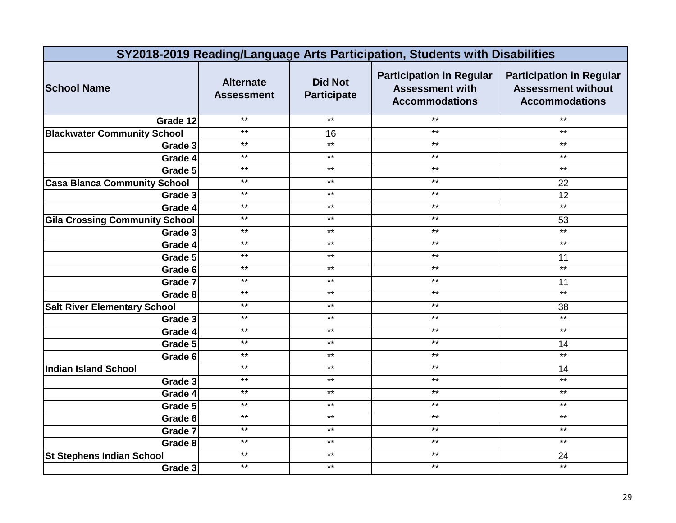| SY2018-2019 Reading/Language Arts Participation, Students with Disabilities |                                       |                                      |                                                                                    |                                                                                       |  |
|-----------------------------------------------------------------------------|---------------------------------------|--------------------------------------|------------------------------------------------------------------------------------|---------------------------------------------------------------------------------------|--|
| <b>School Name</b>                                                          | <b>Alternate</b><br><b>Assessment</b> | <b>Did Not</b><br><b>Participate</b> | <b>Participation in Regular</b><br><b>Assessment with</b><br><b>Accommodations</b> | <b>Participation in Regular</b><br><b>Assessment without</b><br><b>Accommodations</b> |  |
| Grade 12                                                                    | $***$                                 | $*$                                  | $***$                                                                              | $\star\star$                                                                          |  |
| <b>Blackwater Community School</b>                                          | $***$                                 | 16                                   | $***$                                                                              | $***$                                                                                 |  |
| Grade 3                                                                     | $***$                                 | $***$                                | $***$                                                                              | $\star\star$                                                                          |  |
| Grade 4                                                                     | $***$                                 | $***$                                | $***$                                                                              | $***$                                                                                 |  |
| Grade 5                                                                     | $***$                                 | $***$                                | $***$                                                                              | $\star\star$                                                                          |  |
| <b>Casa Blanca Community School</b>                                         | $***$                                 | $\star\star$                         | $***$                                                                              | 22                                                                                    |  |
| Grade 3                                                                     | $***$                                 | $***$                                | $***$                                                                              | 12                                                                                    |  |
| Grade 4                                                                     | $***$                                 | $***$                                | $***$                                                                              | $*$                                                                                   |  |
| <b>Gila Crossing Community School</b>                                       | $***$                                 | $\star\star$                         | $***$                                                                              | 53                                                                                    |  |
| Grade 3                                                                     | $***$                                 | $***$                                | $***$                                                                              | $***$                                                                                 |  |
| Grade 4                                                                     | $**$                                  | $***$                                | $*$                                                                                | $***$                                                                                 |  |
| Grade 5                                                                     | $***$                                 | $***$                                | $***$                                                                              | 11                                                                                    |  |
| Grade 6                                                                     | $***$                                 | $***$                                | $***$                                                                              | $***$                                                                                 |  |
| Grade 7                                                                     | $***$                                 | $***$                                | $***$                                                                              | 11                                                                                    |  |
| Grade 8                                                                     | $***$                                 | $***$                                | $***$                                                                              | $*$                                                                                   |  |
| <b>Salt River Elementary School</b>                                         | $***$                                 | $***$                                | $***$                                                                              | 38                                                                                    |  |
| Grade 3                                                                     | $***$                                 | $***$                                | $***$                                                                              | $*$                                                                                   |  |
| Grade 4                                                                     | $***$                                 | $***$                                | $***$                                                                              | $***$                                                                                 |  |
| Grade 5                                                                     | $\star\star$                          | $***$                                | $***$                                                                              | 14                                                                                    |  |
| Grade 6                                                                     | $***$                                 | $***$                                | $***$                                                                              | $*$                                                                                   |  |
| <b>Indian Island School</b>                                                 | $***$                                 | $\star\star$                         | $\star\star$                                                                       | 14                                                                                    |  |
| Grade 3                                                                     | $***$                                 | $***$                                | $***$                                                                              | $***$                                                                                 |  |
| Grade 4                                                                     | $***$                                 | $***$                                | $***$                                                                              | $***$                                                                                 |  |
| Grade 5                                                                     | $***$                                 | $***$                                | $***$                                                                              | $***$                                                                                 |  |
| Grade 6                                                                     | $***$                                 | $***$                                | $***$                                                                              | $***$                                                                                 |  |
| Grade 7                                                                     | $***$                                 | $***$                                | $***$                                                                              | $***$                                                                                 |  |
| Grade 8                                                                     | $***$                                 | $***$                                | $***$                                                                              | $***$                                                                                 |  |
| <b>St Stephens Indian School</b>                                            | $***$                                 | $***$                                | $***$                                                                              | 24                                                                                    |  |
| Grade 3                                                                     | $***$                                 | $***$                                | $***$                                                                              | $***$                                                                                 |  |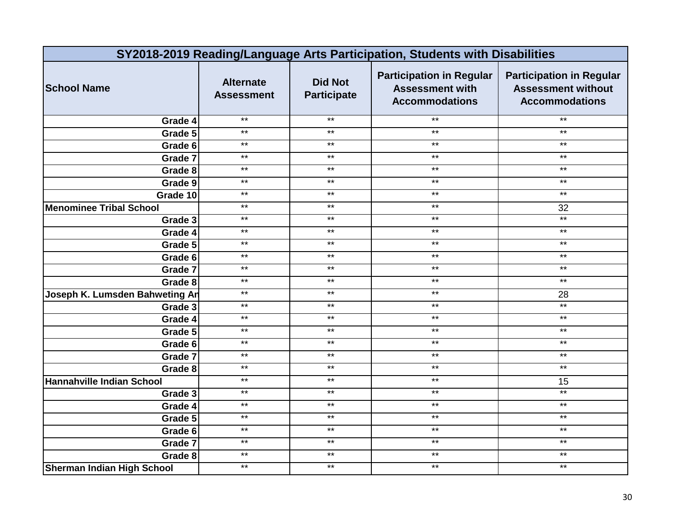| SY2018-2019 Reading/Language Arts Participation, Students with Disabilities |                                       |                                      |                                                                                    |                                                                                       |  |
|-----------------------------------------------------------------------------|---------------------------------------|--------------------------------------|------------------------------------------------------------------------------------|---------------------------------------------------------------------------------------|--|
| <b>School Name</b>                                                          | <b>Alternate</b><br><b>Assessment</b> | <b>Did Not</b><br><b>Participate</b> | <b>Participation in Regular</b><br><b>Assessment with</b><br><b>Accommodations</b> | <b>Participation in Regular</b><br><b>Assessment without</b><br><b>Accommodations</b> |  |
| Grade 4                                                                     | $***$                                 | $***$                                | $***$                                                                              | $***$                                                                                 |  |
| Grade 5                                                                     | $***$                                 | $***$                                | $***$                                                                              | $***$                                                                                 |  |
| Grade 6                                                                     | $***$                                 | $***$                                | $***$                                                                              | $\star\star$                                                                          |  |
| Grade 7                                                                     | $\star\star$                          | $\star\star$                         | $***$                                                                              | $***$                                                                                 |  |
| Grade 8                                                                     | $\star\star$                          | $\star\star$                         | $\star\star$                                                                       | $\star\star$                                                                          |  |
| Grade 9                                                                     | $***$                                 | $***$                                | $***$                                                                              | $***$                                                                                 |  |
| Grade 10                                                                    | $\star\star$                          | $\star\star$                         | $\star\star$                                                                       | $\star\star$                                                                          |  |
| <b>Menominee Tribal School</b>                                              | $***$                                 | $***$                                | $***$                                                                              | 32                                                                                    |  |
| Grade 3                                                                     | $***$                                 | $***$                                | $***$                                                                              | $\star\star$                                                                          |  |
| Grade 4                                                                     | $\star\star$                          | $***$                                | $\star\star$                                                                       | $***$                                                                                 |  |
| Grade 5                                                                     | $**$                                  | $***$                                | $***$                                                                              | $\star\star$                                                                          |  |
| Grade 6                                                                     | $***$                                 | $***$                                | $\star\star$                                                                       | $***$                                                                                 |  |
| Grade 7                                                                     | $***$                                 | $\star\star$                         | $***$                                                                              | $\star\star$                                                                          |  |
| Grade 8                                                                     | $***$                                 | $***$                                | $***$                                                                              | $***$                                                                                 |  |
| Joseph K. Lumsden Bahweting An                                              | $***$                                 | $***$                                | $***$                                                                              | 28                                                                                    |  |
| Grade 3                                                                     | $***$                                 | $***$                                | $***$                                                                              | $***$                                                                                 |  |
| Grade 4                                                                     | $***$                                 | $***$                                | $***$                                                                              | $*$                                                                                   |  |
| Grade 5                                                                     | $*$                                   | $***$                                | $***$                                                                              | $\star\star$                                                                          |  |
| Grade 6                                                                     | $***$                                 | $***$                                | $***$                                                                              | $\star\star$                                                                          |  |
| Grade 7                                                                     | $***$                                 | $\star\star$                         | $***$                                                                              | $***$                                                                                 |  |
| Grade 8                                                                     | $***$                                 | $***$                                | $***$                                                                              | $***$                                                                                 |  |
| Hannahville Indian School                                                   | $***$                                 | $***$                                | $***$                                                                              | 15                                                                                    |  |
| Grade 3                                                                     | $***$                                 | $***$                                | $***$                                                                              | $\star\star$                                                                          |  |
| Grade 4                                                                     | $*$                                   | $***$                                | $***$                                                                              | $***$                                                                                 |  |
| Grade 5                                                                     | $***$                                 | $***$                                | $***$                                                                              | $***$                                                                                 |  |
| Grade 6                                                                     | $\star\star$                          | $***$                                | $***$                                                                              | $\star\star$                                                                          |  |
| Grade 7                                                                     | $***$                                 | $***$                                | $***$                                                                              | $***$                                                                                 |  |
| Grade 8                                                                     | $***$                                 | $***$                                | $***$                                                                              | $***$                                                                                 |  |
| <b>Sherman Indian High School</b>                                           | $***$                                 | $***$                                | $***$                                                                              | $\star\star$                                                                          |  |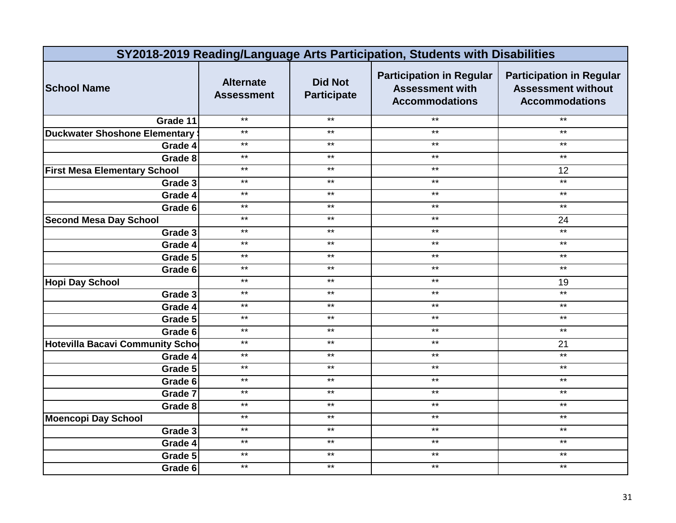| SY2018-2019 Reading/Language Arts Participation, Students with Disabilities |                                       |                                      |                                                                                    |                                                                                       |  |
|-----------------------------------------------------------------------------|---------------------------------------|--------------------------------------|------------------------------------------------------------------------------------|---------------------------------------------------------------------------------------|--|
| <b>School Name</b>                                                          | <b>Alternate</b><br><b>Assessment</b> | <b>Did Not</b><br><b>Participate</b> | <b>Participation in Regular</b><br><b>Assessment with</b><br><b>Accommodations</b> | <b>Participation in Regular</b><br><b>Assessment without</b><br><b>Accommodations</b> |  |
| Grade 11                                                                    | $***$                                 | $***$                                | $***$                                                                              | $\star\star$                                                                          |  |
| <b>Duckwater Shoshone Elementary</b>                                        | $***$                                 | $***$                                | $***$                                                                              | $***$                                                                                 |  |
| Grade 4                                                                     | $***$                                 | $***$                                | $***$                                                                              | $\star\star$                                                                          |  |
| Grade 8                                                                     | $***$                                 | $***$                                | $***$                                                                              | $***$                                                                                 |  |
| <b>First Mesa Elementary School</b>                                         | $***$                                 | $***$                                | $***$                                                                              | 12                                                                                    |  |
| Grade 3                                                                     | $***$                                 | $***$                                | $***$                                                                              | $***$                                                                                 |  |
| Grade 4                                                                     | $***$                                 | $***$                                | $\star\star$                                                                       | $\star\star$                                                                          |  |
| Grade 6                                                                     | $***$                                 | $***$                                | $***$                                                                              | $***$                                                                                 |  |
| <b>Second Mesa Day School</b>                                               | $***$                                 | $\star\star$                         | $\star\star$                                                                       | 24                                                                                    |  |
| Grade 3                                                                     | $***$                                 | $***$                                | $***$                                                                              | $*$                                                                                   |  |
| Grade 4                                                                     | $**$                                  | $***$                                | $***$                                                                              | $\star\star$                                                                          |  |
| Grade 5                                                                     | $\star\star$                          | $***$                                | $***$                                                                              | $***$                                                                                 |  |
| Grade 6                                                                     | $***$                                 | $***$                                | $***$                                                                              | $***$                                                                                 |  |
| <b>Hopi Day School</b>                                                      | $***$                                 | $***$                                | $***$                                                                              | 19                                                                                    |  |
| Grade 3                                                                     | $***$                                 | $***$                                | $***$                                                                              | $***$                                                                                 |  |
| Grade 4                                                                     | $***$                                 | $***$                                | $***$                                                                              | $***$                                                                                 |  |
| Grade 5                                                                     | $***$                                 | $***$                                | $***$                                                                              | $***$                                                                                 |  |
| Grade 6                                                                     | $***$                                 | $***$                                | $***$                                                                              | $***$                                                                                 |  |
| <b>Hotevilla Bacavi Community Scho</b>                                      | $***$                                 | $***$                                | $***$                                                                              | 21                                                                                    |  |
| Grade 4                                                                     | $***$                                 | $***$                                | $***$                                                                              | $***$                                                                                 |  |
| Grade 5                                                                     | $***$                                 | $***$                                | $***$                                                                              | $\star\star$                                                                          |  |
| Grade 6                                                                     | $***$                                 | $***$                                | $***$                                                                              | $***$                                                                                 |  |
| Grade 7                                                                     | $***$                                 | $***$                                | $***$                                                                              | $\star\star$                                                                          |  |
| Grade 8                                                                     | $***$                                 | $***$                                | $***$                                                                              | $\star\star$                                                                          |  |
| <b>Moencopi Day School</b>                                                  | $*$                                   | $***$                                | $***$                                                                              | $\star\star$                                                                          |  |
| Grade 3                                                                     | $***$                                 | $***$                                | $***$                                                                              | $\star\star$                                                                          |  |
| Grade 4                                                                     | $***$                                 | $\star\star$                         | $\star\star$                                                                       | $\star\star$                                                                          |  |
| Grade 5                                                                     | $***$                                 | $***$                                | $***$                                                                              | $***$                                                                                 |  |
| Grade 6                                                                     | $***$                                 | $***$                                | $\star\star$                                                                       | $***$                                                                                 |  |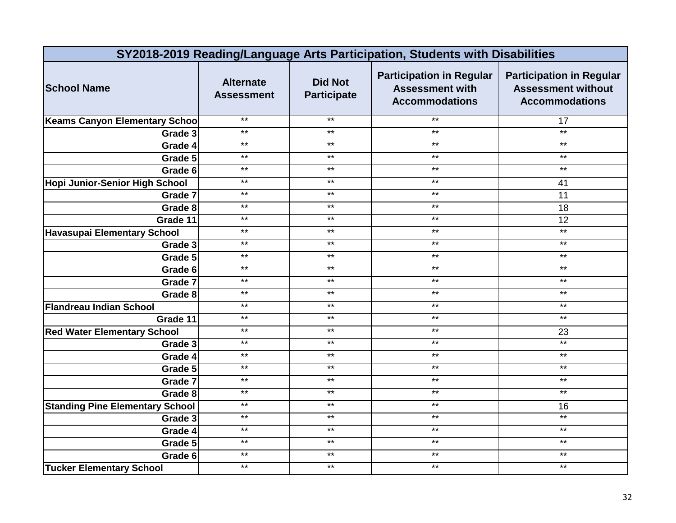| SY2018-2019 Reading/Language Arts Participation, Students with Disabilities |                                       |                                      |                                                                                    |                                                                                       |
|-----------------------------------------------------------------------------|---------------------------------------|--------------------------------------|------------------------------------------------------------------------------------|---------------------------------------------------------------------------------------|
| <b>School Name</b>                                                          | <b>Alternate</b><br><b>Assessment</b> | <b>Did Not</b><br><b>Participate</b> | <b>Participation in Regular</b><br><b>Assessment with</b><br><b>Accommodations</b> | <b>Participation in Regular</b><br><b>Assessment without</b><br><b>Accommodations</b> |
| <b>Keams Canyon Elementary School</b>                                       | $***$                                 | $***$                                | $***$                                                                              | 17                                                                                    |
| Grade 3                                                                     | $***$                                 | $***$                                | $***$                                                                              | $*$                                                                                   |
| Grade 4                                                                     | $***$                                 | $***$                                | $***$                                                                              | $\star\star$                                                                          |
| Grade 5                                                                     | $***$                                 | $***$                                | $***$                                                                              | $\star\star$                                                                          |
| Grade 6                                                                     | $***$                                 | $\star\star$                         | $***$                                                                              | $\star\star$                                                                          |
| Hopi Junior-Senior High School                                              | $***$                                 | $***$                                | $***$                                                                              | 41                                                                                    |
| Grade 7                                                                     | $***$                                 | $\star\star$                         | $\star\star$                                                                       | 11                                                                                    |
| Grade 8                                                                     | $***$                                 | $***$                                | $***$                                                                              | 18                                                                                    |
| Grade 11                                                                    | $***$                                 | $***$                                | $***$                                                                              | 12                                                                                    |
| <b>Havasupai Elementary School</b>                                          | $***$                                 | $\star\star$                         | $***$                                                                              | $\star\star$                                                                          |
| Grade 3                                                                     | $**$                                  | $***$                                | $***$                                                                              | $\star\star$                                                                          |
| Grade 5                                                                     | $***$                                 | $***$                                | $***$                                                                              | $***$                                                                                 |
| Grade 6                                                                     | $***$                                 | $\star\star$                         | $***$                                                                              | $\star\star$                                                                          |
| Grade 7                                                                     | $***$                                 | $***$                                | $***$                                                                              | $\star\star$                                                                          |
| Grade 8                                                                     | $***$                                 | $***$                                | $***$                                                                              | $***$                                                                                 |
| <b>Flandreau Indian School</b>                                              | $***$                                 | $***$                                | $***$                                                                              | $\star\star$                                                                          |
| Grade 11                                                                    | $***$                                 | $\star\star$                         | $***$                                                                              | $***$                                                                                 |
| <b>Red Water Elementary School</b>                                          | $**$                                  | $***$                                | $***$                                                                              | 23                                                                                    |
| Grade 3                                                                     | $***$                                 | $\star\star$                         | $***$                                                                              | $*$                                                                                   |
| Grade 4                                                                     | $***$                                 | $\star\star$                         | $***$                                                                              | $***$                                                                                 |
| Grade 5                                                                     | $***$                                 | $***$                                | $***$                                                                              | $***$                                                                                 |
| Grade 7                                                                     | $***$                                 | $***$                                | $***$                                                                              | $***$                                                                                 |
| Grade 8                                                                     | $***$                                 | $***$                                | $***$                                                                              | $***$                                                                                 |
| <b>Standing Pine Elementary School</b>                                      | $***$                                 | $***$                                | $***$                                                                              | 16                                                                                    |
| Grade 3                                                                     | $***$                                 | $***$                                | $***$                                                                              | $***$                                                                                 |
| Grade 4                                                                     | $***$                                 | $***$                                | $***$                                                                              | $\star\star$                                                                          |
| Grade 5                                                                     | $***$                                 | $***$                                | $***$                                                                              | $***$                                                                                 |
| Grade 6                                                                     | $***$                                 | $***$                                | $***$                                                                              | $***$                                                                                 |
| <b>Tucker Elementary School</b>                                             | $***$                                 | $***$                                | $***$                                                                              | $\star\star$                                                                          |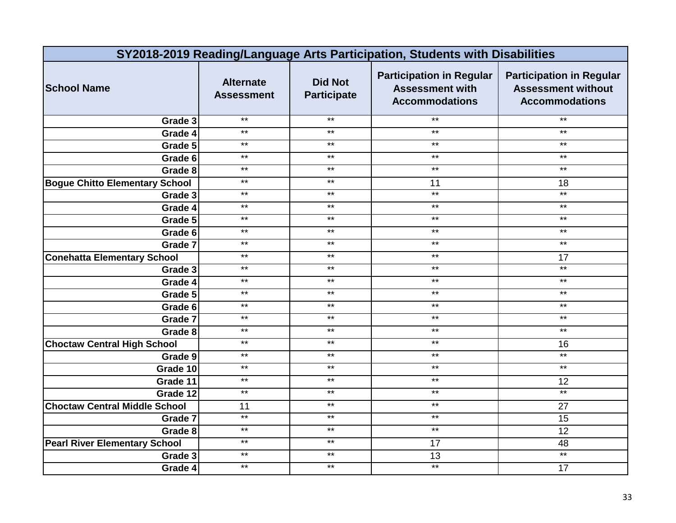| SY2018-2019 Reading/Language Arts Participation, Students with Disabilities |                                       |                                      |                                                                                    |                                                                                       |  |
|-----------------------------------------------------------------------------|---------------------------------------|--------------------------------------|------------------------------------------------------------------------------------|---------------------------------------------------------------------------------------|--|
| <b>School Name</b>                                                          | <b>Alternate</b><br><b>Assessment</b> | <b>Did Not</b><br><b>Participate</b> | <b>Participation in Regular</b><br><b>Assessment with</b><br><b>Accommodations</b> | <b>Participation in Regular</b><br><b>Assessment without</b><br><b>Accommodations</b> |  |
| Grade 3                                                                     | $***$                                 | $***$                                | $***$                                                                              | $\star\star$                                                                          |  |
| Grade 4                                                                     | $***$                                 | $\star\star$                         | $***$                                                                              | $***$                                                                                 |  |
| Grade 5                                                                     | $***$                                 | $\star\star$                         | $***$                                                                              | $\star\star$                                                                          |  |
| Grade 6                                                                     | $***$                                 | $***$                                | $***$                                                                              | $***$                                                                                 |  |
| Grade 8                                                                     | $***$                                 | $***$                                | $***$                                                                              | $\star\star$                                                                          |  |
| <b>Bogue Chitto Elementary School</b>                                       | $***$                                 | $***$                                | 11                                                                                 | 18                                                                                    |  |
| Grade 3                                                                     | $***$                                 | $***$                                | $***$                                                                              | $*$                                                                                   |  |
| Grade 4                                                                     | $***$                                 | $***$                                | $***$                                                                              | $***$                                                                                 |  |
| Grade 5                                                                     | $***$                                 | $***$                                | $***$                                                                              | $***$                                                                                 |  |
| Grade 6                                                                     | $***$                                 | $***$                                | $***$                                                                              | $***$                                                                                 |  |
| Grade 7                                                                     | $***$                                 | $***$                                | $***$                                                                              | $\star\star$                                                                          |  |
| <b>Conehatta Elementary School</b>                                          | $\star\star$                          | $***$                                | $***$                                                                              | 17                                                                                    |  |
| Grade 3                                                                     | $***$                                 | $***$                                | $***$                                                                              | $***$                                                                                 |  |
| Grade 4                                                                     | $***$                                 | $***$                                | $***$                                                                              | $\star\star$                                                                          |  |
| Grade 5                                                                     | $***$                                 | $***$                                | $***$                                                                              | $***$                                                                                 |  |
| Grade 6                                                                     | $***$                                 | $***$                                | $***$                                                                              | $***$                                                                                 |  |
| Grade 7                                                                     | $***$                                 | $***$                                | $***$                                                                              | $***$                                                                                 |  |
| Grade 8                                                                     | $***$                                 | $***$                                | $***$                                                                              | $***$                                                                                 |  |
| <b>Choctaw Central High School</b>                                          | $***$                                 | $***$                                | $***$                                                                              | 16                                                                                    |  |
| Grade 9                                                                     | $***$                                 | $***$                                | $***$                                                                              | $*$                                                                                   |  |
| Grade 10                                                                    | $***$                                 | $***$                                | $***$                                                                              | $***$                                                                                 |  |
| Grade 11                                                                    | $***$                                 | $***$                                | $***$                                                                              | 12                                                                                    |  |
| Grade 12                                                                    | $***$                                 | $\star\star$                         | $***$                                                                              | $***$                                                                                 |  |
| <b>Choctaw Central Middle School</b>                                        | 11                                    | $***$                                | $***$                                                                              | 27                                                                                    |  |
| Grade 7                                                                     | $*$                                   | $***$                                | $***$                                                                              | 15                                                                                    |  |
| Grade 8                                                                     | $***$                                 | $\star\star$                         | $***$                                                                              | 12                                                                                    |  |
| <b>Pearl River Elementary School</b>                                        | $***$                                 | $***$                                | 17                                                                                 | 48                                                                                    |  |
| Grade 3                                                                     | $***$                                 | $***$                                | 13                                                                                 | $***$                                                                                 |  |
| Grade 4                                                                     | $***$                                 | $\star\star$                         | $***$                                                                              | 17                                                                                    |  |